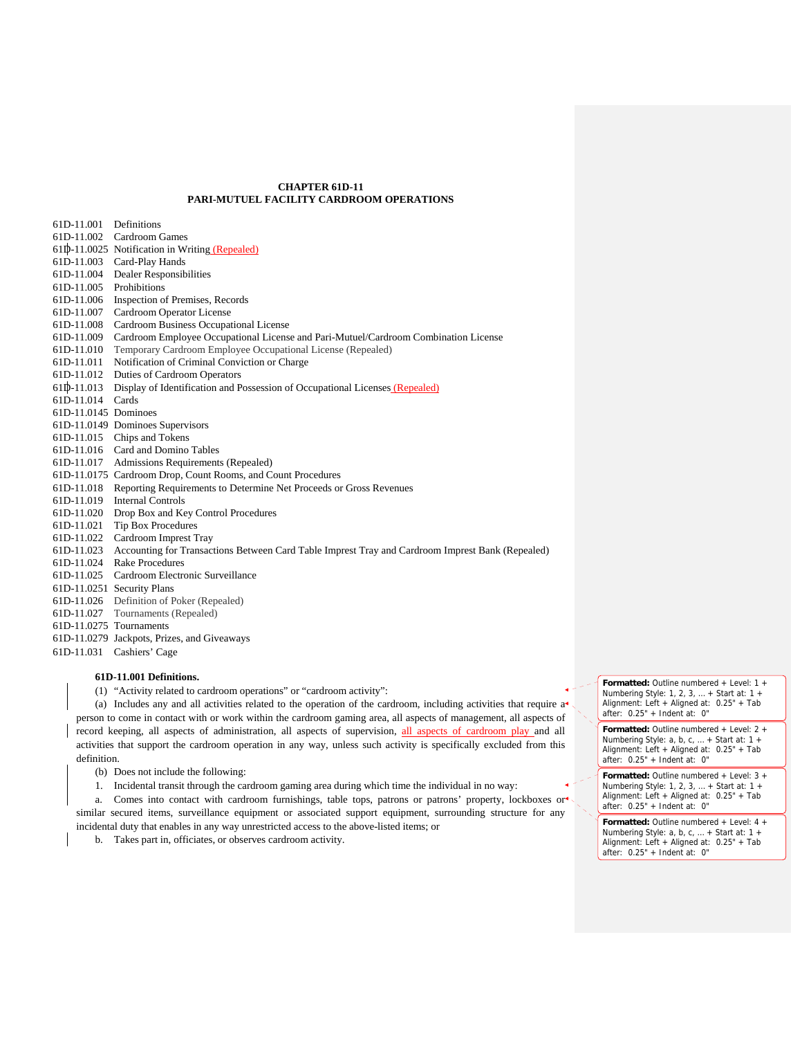# **CHAPTER 61D-11 PARI-MUTUEL FACILITY CARDROOM OPERATIONS**

| 61D-11.001              | Definitions                                                                                      |
|-------------------------|--------------------------------------------------------------------------------------------------|
| 61D-11.002              | Cardroom Games                                                                                   |
|                         | 61D-11.0025 Notification in Writing (Repealed)                                                   |
| 61D-11.003              | Card-Play Hands                                                                                  |
|                         | 61D-11.004 Dealer Responsibilities                                                               |
| 61D-11.005 Prohibitions |                                                                                                  |
|                         | 61D-11.006 Inspection of Premises, Records                                                       |
| 61D-11.007              | Cardroom Operator License                                                                        |
| 61D-11.008              | Cardroom Business Occupational License                                                           |
| 61D-11.009              | Cardroom Employee Occupational License and Pari-Mutuel/Cardroom Combination License              |
| 61D-11.010              | Temporary Cardroom Employee Occupational License (Repealed)                                      |
| 61D-11.011              | Notification of Criminal Conviction or Charge                                                    |
| 61D-11.012              | Duties of Cardroom Operators                                                                     |
| 61D-11.013              | Display of Identification and Possession of Occupational Licenses (Repealed)                     |
| 61D-11.014              | Cards                                                                                            |
| 61D-11.0145 Dominoes    |                                                                                                  |
|                         | 61D-11.0149 Dominoes Supervisors                                                                 |
|                         | 61D-11.015 Chips and Tokens                                                                      |
|                         | 61D-11.016 Card and Domino Tables                                                                |
| 61D-11.017              | Admissions Requirements (Repealed)                                                               |
|                         | 61D-11.0175 Cardroom Drop, Count Rooms, and Count Procedures                                     |
| 61D-11.018              | Reporting Requirements to Determine Net Proceeds or Gross Revenues                               |
| 61D-11.019              | <b>Internal Controls</b>                                                                         |
| 61D-11.020              | Drop Box and Key Control Procedures                                                              |
| 61D-11.021              | <b>Tip Box Procedures</b>                                                                        |
| 61D-11.022              | Cardroom Imprest Tray                                                                            |
| 61D-11.023              | Accounting for Transactions Between Card Table Imprest Tray and Cardroom Imprest Bank (Repealed) |
|                         | 61D-11.024 Rake Procedures                                                                       |
|                         | 61D-11.025 Cardroom Electronic Surveillance                                                      |
|                         | 61D-11.0251 Security Plans                                                                       |
|                         | 61D-11.026 Definition of Poker (Repealed)                                                        |
| 61D-11.027              | Tournaments (Repealed)                                                                           |
| 61D-11.0275 Tournaments |                                                                                                  |
|                         | 61D-11.0279 Jackpots, Prizes, and Giveaways                                                      |
| 61D-11.031              | Cashiers' Cage                                                                                   |
|                         |                                                                                                  |

# **61D-11.001 Definitions.**

(1) "Activity related to cardroom operations" or "cardroom activity":

(a) Includes any and all activities related to the operation of the cardroom, including activities that require  $a<sup>*</sup>$ person to come in contact with or work within the cardroom gaming area, all aspects of management, all aspects of record keeping, all aspects of administration, all aspects of supervision, all aspects of cardroom play and all activities that support the cardroom operation in any way, unless such activity is specifically excluded from this definition.

- (b) Does not include the following:
- 1. Incidental transit through the cardroom gaming area during which time the individual in no way:

a. Comes into contact with cardroom furnishings, table tops, patrons or patrons' property, lockboxes or similar secured items, surveillance equipment or associated support equipment, surrounding structure for any incidental duty that enables in any way unrestricted access to the above-listed items; or

b. Takes part in, officiates, or observes cardroom activity.

**Formatted:** Outline numbered + Level: 1 + Numbering Style: 1, 2, 3, … + Start at: 1 + Alignment: Left + Aligned at: 0.25" + Tab after: 0.25" + Indent at: 0"

**Formatted:** Outline numbered + Level: 2 + Numbering Style: a, b, c, … + Start at: 1 + Alignment: Left + Aligned at: 0.25" + Tab after: 0.25" + Indent at: 0"

**Formatted:** Outline numbered + Level: 3 + Numbering Style: 1, 2, 3, … + Start at: 1 + Alignment: Left + Aligned at: 0.25" + Tab after: 0.25" + Indent at: 0"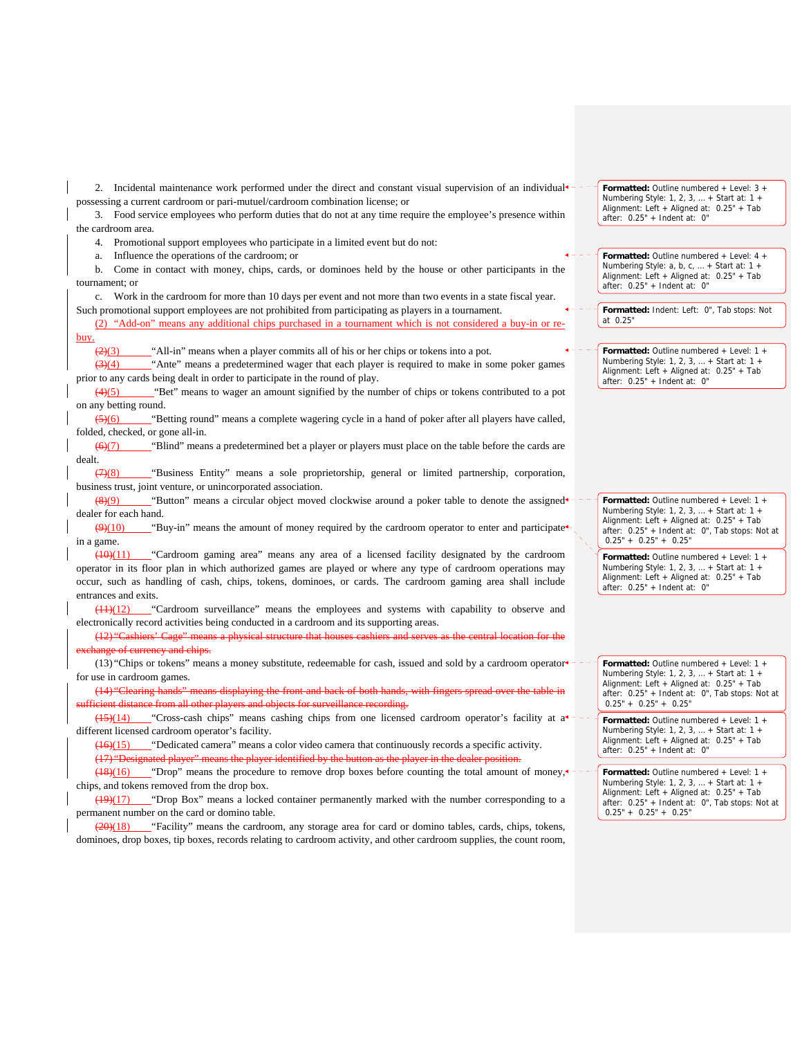2. Incidental maintenance work performed under the direct and constant visual supervision of an individual<sup> $\epsilon$ -</sup> possessing a current cardroom or pari-mutuel/cardroom combination license; or

3. Food service employees who perform duties that do not at any time require the employee's presence within the cardroom area.

4. Promotional support employees who participate in a limited event but do not:

a. Influence the operations of the cardroom; or

b. Come in contact with money, chips, cards, or dominoes held by the house or other participants in the tournament; or

c. Work in the cardroom for more than 10 days per event and not more than two events in a state fiscal year. Such promotional support employees are not prohibited from participating as players in a tournament.

(2) "Add-on" means any additional chips purchased in a tournament which is not considered a buy-in or rebuy.

 $\frac{2}{3}$  "All-in" means when a player commits all of his or her chips or tokens into a pot.

(3)(4) "Ante" means a predetermined wager that each player is required to make in some poker games prior to any cards being dealt in order to participate in the round of play.

(4)(5) "Bet" means to wager an amount signified by the number of chips or tokens contributed to a pot on any betting round.

(5)(6) "Betting round" means a complete wagering cycle in a hand of poker after all players have called, folded, checked, or gone all-in.

 $\frac{66(7)}{2}$  "Blind" means a predetermined bet a player or players must place on the table before the cards are dealt.

(7)(8) "Business Entity" means a sole proprietorship, general or limited partnership, corporation, business trust, joint venture, or unincorporated association.

 $\frac{8(9)}{9}$  "Button" means a circular object moved clockwise around a poker table to denote the assigned dealer for each hand.

 $\left(99(10)\right)$  "Buy-in" means the amount of money required by the cardroom operator to enter and participate. in a game.

(10)(11) "Cardroom gaming area" means any area of a licensed facility designated by the cardroom operator in its floor plan in which authorized games are played or where any type of cardroom operations may occur, such as handling of cash, chips, tokens, dominoes, or cards. The cardroom gaming area shall include entrances and exits.

(11)(12) "Cardroom surveillance" means the employees and systems with capability to observe and electronically record activities being conducted in a cardroom and its supporting areas.

(12) "Cashiers' Cage" means a physical structure that house hange of currency and chips.

(13) "Chips or tokens" means a money substitute, redeemable for cash, issued and sold by a cardroom operator for use in cardroom games.

(14) "Clearing hands" means displaying the front and back of both hands, with fingers spread over the table in sufficient distance from all other players and objects for surveillance recording.

 $(15)(14)$  "Cross-cash chips" means cashing chips from one licensed cardroom operator's facility at a<sup>+-</sup> different licensed cardroom operator's facility.

 $(16)(15)$  "Dedicated camera" means a color video camera that continuously records a specific activity. (17) "Designated player" means the player identified by the button as the player in the dealer position.

 $(18)(16)$  "Drop" means the procedure to remove drop boxes before counting the total amount of money, chips, and tokens removed from the drop box.

 $(19)(17)$  "Drop Box" means a locked container permanently marked with the number corresponding to a permanent number on the card or domino table.

 $\left(\frac{20}{18}\right)$  "Facility" means the cardroom, any storage area for card or domino tables, cards, chips, tokens, dominoes, drop boxes, tip boxes, records relating to cardroom activity, and other cardroom supplies, the count room, **Formatted:** Outline numbered + Level: 3 + Numbering Style: 1, 2, 3, … + Start at: 1 + Alignment: Left + Aligned at: 0.25" + Tab after: 0.25" + Indent at: 0"

**Formatted:** Outline numbered + Level: 4 + Numbering Style: a, b, c, … + Start at: 1 + Alignment: Left + Aligned at: 0.25" + Tab after: 0.25" + Indent at: 0"

**Formatted:** Indent: Left: 0", Tab stops: Not at 0.25"

**Formatted:** Outline numbered + Level: 1 + Numbering Style: 1, 2, 3, … + Start at: 1 + Alignment: Left + Aligned at: 0.25" + Tab after: 0.25" + Indent at: 0"

**Formatted:** Outline numbered + Level: 1 + Numbering Style: 1, 2, 3, … + Start at: 1 + Alignment: Left + Aligned at: 0.25" + Tab after: 0.25" + Indent at: 0", Tab stops: Not at  $0.25" + 0.25" + 0.25"$ 

**Formatted:** Outline numbered + Level: 1 + Numbering Style: 1, 2, 3, … + Start at: 1 + Alignment: Left + Aligned at: 0.25" + Tab after: 0.25" + Indent at: 0"

**Formatted:** Outline numbered + Level: 1 + Numbering Style: 1, 2, 3, … + Start at: 1 + Alignment: Left + Aligned at: 0.25" + Tab after: 0.25" + Indent at: 0", Tab stops: Not at  $0.25" + 0.25" + 0.25"$ 

**Formatted:** Outline numbered + Level: 1 + Numbering Style: 1, 2, 3, … + Start at: 1 + Alignment: Left + Aligned at: 0.25" + Tab after: 0.25" + Indent at: 0"

**Formatted:** Outline numbered + Level: 1 + Numbering Style: 1, 2, 3, … + Start at: 1 + Alignment: Left + Aligned at: 0.25" + Tab after: 0.25" + Indent at: 0", Tab stops: Not at  $0.25" + 0.25" + 0.25"$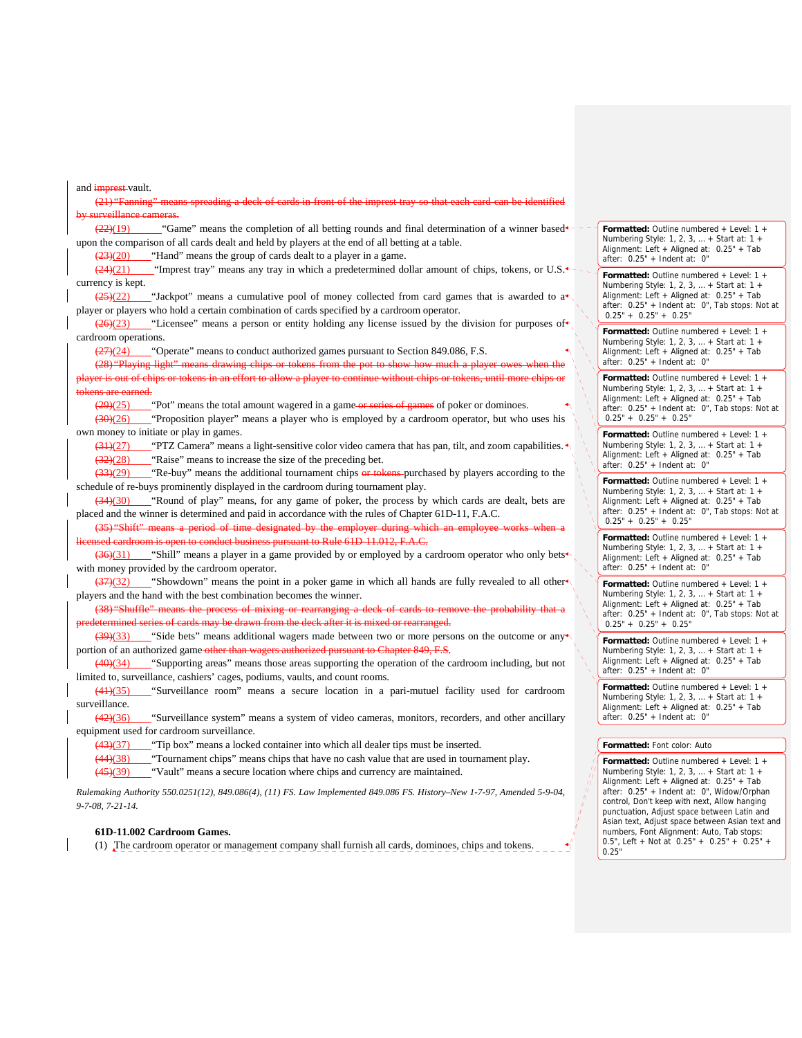and *imprest*-vault. (21) "Fanning" means spreading a deck of cards in front of the imprest tray so that each card can be identified by surveillance cameras.  $\frac{22}{2}$ (19) "Game" means the completion of all betting rounds and final determination of a winner based  $\sim$ upon the comparison of all cards dealt and held by players at the end of all betting at a table.  $\left(\frac{23}{20}\right)$  "Hand" means the group of cards dealt to a player in a game.  $(24)(21)$  "Imprest tray" means any tray in which a predetermined dollar amount of chips, tokens, or U.S. $\leftarrow$ currency is kept.  $\frac{(25)(22)}{2}$  "Jackpot" means a cumulative pool of money collected from card games that is awarded to a<sup>\*</sup> player or players who hold a certain combination of cards specified by a cardroom operator.  $\left(26\right)\left(23\right)$  "Licensee" means a person or entity holding any license issued by the division for purposes of  $\left(4\right)$ cardroom operations. (27)(24) "Operate" means to conduct authorized games pursuant to Section 849.086, F.S. (28) "Playing light" means drawing chips or tokens from the pot to show how much an effort to allow a player to continue without chips tokens are earned.  $\frac{(29)(25)}{2}$  "Pot" means the total amount wagered in a game or series of games of poker or dominoes. (30)(26) "Proposition player" means a player who is employed by a cardroom operator, but who uses his own money to initiate or play in games.  $\frac{(31)(27)}{2}$  "PTZ Camera" means a light-sensitive color video camera that has pan, tilt, and zoom capabilities. (32)(28) "Raise" means to increase the size of the preceding bet. (33)(29) "Re-buy" means the additional tournament chips or tokens purchased by players according to the schedule of re-buys prominently displayed in the cardroom during tournament play. (34)(30) "Round of play" means, for any game of poker, the process by which cards are dealt, bets are placed and the winner is determined and paid in accordance with the rules of Chapter 61D-11, F.A.C. (35) "Shift" means a period of time designated by the employer during In to conduct business pursuant to Rule 61D-11.012,  $F.A.C.$  $(36)(31)$  "Shill" means a player in a game provided by or employed by a cardroom operator who only bets<sup>\*</sup> with money provided by the cardroom operator. (37)(32) "Showdown" means the point in a poker game in which all hands are fully revealed to all other players and the hand with the best combination becomes the winner. (38) "Shuffle" means the process of mixing or rearranging a deck of cards to remove the probability eries of cards may be drawn from the deck after it is mixed or rearranged.  $\left(\frac{39}{33}\right)$  "Side bets" means additional wagers made between two or more persons on the outcome or any portion of an authorized game-other than wagers authorized pursuant to Chapter 849, F.S. (40)(34) "Supporting areas" means those areas supporting the operation of the cardroom including, but not limited to, surveillance, cashiers' cages, podiums, vaults, and count rooms. (41)(35) "Surveillance room" means a secure location in a pari-mutuel facility used for cardroom surveillance. (42)(36) "Surveillance system" means a system of video cameras, monitors, recorders, and other ancillary equipment used for cardroom surveillance. (43)(37) "Tip box" means a locked container into which all dealer tips must be inserted. (44)(38) "Tournament chips" means chips that have no cash value that are used in tournament play.  $(45)(39)$  "Vault" means a secure location where chips and currency are maintained.

*Rulemaking Authority 550.0251(12), 849.086(4), (11) FS. Law Implemented 849.086 FS. History–New 1-7-97, Amended 5-9-04, 9-7-08, 7-21-14.*

### **61D-11.002 Cardroom Games.**

(1) The cardroom operator or management company shall furnish all cards, dominoes, chips and tokens.

**Formatted:** Outline numbered + Level: 1 + Numbering Style: 1, 2, 3, … + Start at: 1 + Alignment: Left + Aligned at: 0.25" + Tab after: 0.25" + Indent at: 0"

**Formatted:** Outline numbered + Level: 1 + Numbering Style: 1, 2, 3, … + Start at: 1 + Alignment: Left + Aligned at: 0.25" + Tab after: 0.25" + Indent at: 0", Tab stops: Not at  $0.25'' + 0.25'' + 0.25''$ 

**Formatted:** Outline numbered + Level: 1 + Numbering Style: 1, 2, 3, … + Start at: 1 + Alignment: Left + Aligned at: 0.25" + Tab  $after: 0.25" + Indent at: 0"$ 

**Formatted:** Outline numbered + Level: 1 + Numbering Style: 1, 2, 3, … + Start at: 1 + Alignment: Left + Aligned at: 0.25" + Tab after: 0.25" + Indent at: 0", Tab stops: Not at  $0.25" + 0.25" + 0.25"$ 

**Formatted:** Outline numbered + Level: 1 + Numbering Style: 1, 2, 3, … + Start at: 1 + Alignment: Left + Aligned at: 0.25" + Tab after: 0.25" + Indent at: 0"

**Formatted:** Outline numbered + Level: 1 + Numbering Style: 1, 2, 3, … + Start at: 1 + Alignment: Left + Aligned at: 0.25" + Tab after: 0.25" + Indent at: 0", Tab stops: Not at  $0.25" + 0.25" + 0.25"$ 

**Formatted:** Outline numbered + Level: 1 + Numbering Style: 1, 2, 3, … + Start at: 1 + Alignment: Left + Aligned at: 0.25" + Tab after: 0.25" + Indent at: 0"

**Formatted:** Outline numbered + Level: 1 + Numbering Style: 1, 2, 3, … + Start at: 1 + Alignment: Left + Aligned at: 0.25" + Tab after: 0.25" + Indent at: 0", Tab stops: Not at  $0.25" + 0.25" + 0.25"$ 

**Formatted:** Outline numbered + Level: 1 + Numbering Style: 1, 2, 3, … + Start at: 1 + Alignment: Left + Aligned at: 0.25" + Tab after: 0.25" + Indent at: 0"

**Formatted:** Outline numbered + Level: 1 + Numbering Style: 1, 2, 3, … + Start at: 1 + Alignment: Left + Aligned at: 0.25" + Tab after: 0.25" + Indent at: 0"

### **Formatted:** Font color: Auto

**Formatted:** Outline numbered + Level: 1 + Numbering Style: 1, 2, 3, … + Start at: 1 + Alignment: Left + Aligned at: 0.25" + Tab after: 0.25" + Indent at: 0", Widow/Orphan control, Don't keep with next, Allow hanging punctuation, Adjust space between Latin and Asian text, Adjust space between Asian text and numbers, Font Alignment: Auto, Tab stops: 0.5", Left + Not at 0.25" + 0.25" + 0.25" + 0.25"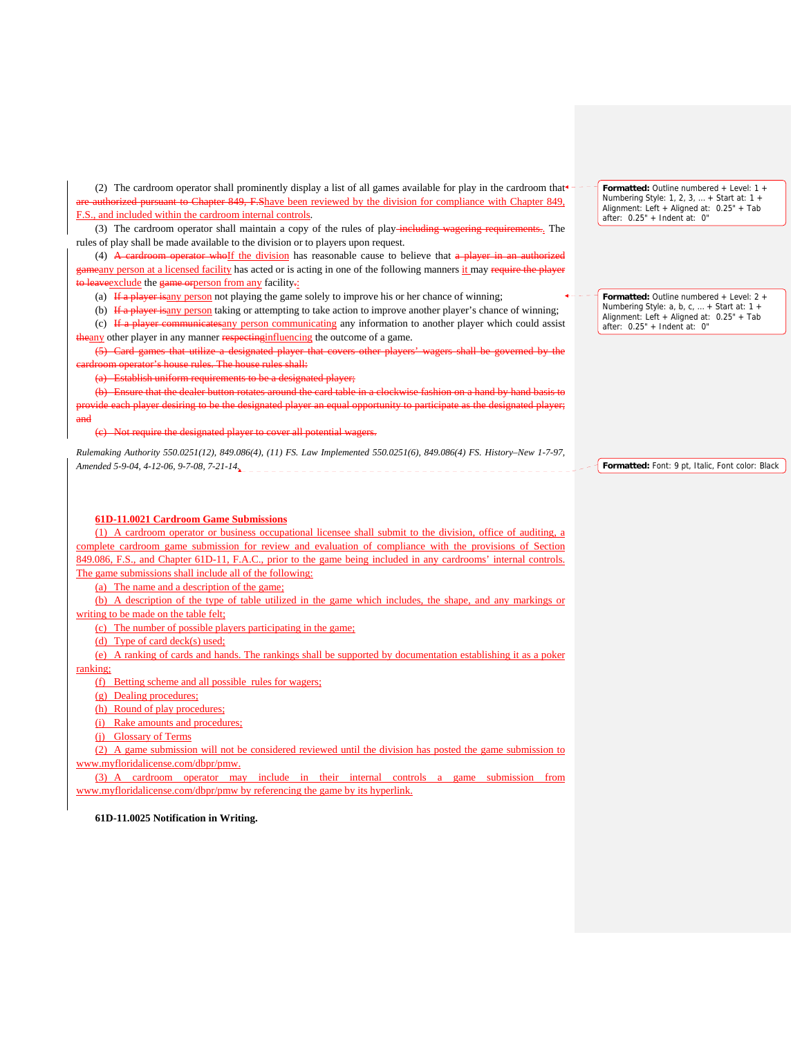(2) The cardroom operator shall prominently display a list of all games available for play in the cardroom that $\epsilon$  athorized pursuant to Chapter 849, F.Shave been reviewed by the division for compliance with Chapter 849, F.S., and included within the cardroom internal controls.

(3) The cardroom operator shall maintain a copy of the rules of play-including wagering requirements. The rules of play shall be made available to the division or to players upon request.

(4) A cardroom operator whoIf the division has reasonable cause to believe that a player in an authorized everty person at a licensed facility has acted or is acting in one of the following manners it may require the player aveexclude the game orperson from any facility.

(a) If a player isany person not playing the game solely to improve his or her chance of winning;

(b) If a player isany person taking or attempting to take action to improve another player's chance of winning; (c) If a player communicates any person communicating any information to another player which could assist

theany other player in any manner respecting influencing the outcome of a game.

(5) Card games that utilize a designated player that covers other players' wagers shall be governed by the om operator's house rules. The house rules shall:

(a) Establish uniform requirements to be a designated player;

(b) Ensure that the dealer button rotates around the card table <sup>e</sup> an equal opportunity to participate and

(c) Not require the designated player to cover all potential wagers.

*Rulemaking Authority 550.0251(12), 849.086(4), (11) FS. Law Implemented 550.0251(6), 849.086(4) FS. History–New 1-7-97, Amended 5-9-04, 4-12-06, 9-7-08, 7-21-14.* 

## **61D-11.0021 Cardroom Game Submissions**

(1) A cardroom operator or business occupational licensee shall submit to the division, office of auditing, a complete cardroom game submission for review and evaluation of compliance with the provisions of Section 849.086, F.S., and Chapter 61D-11, F.A.C., prior to the game being included in any cardrooms' internal controls. The game submissions shall include all of the following:

(a) The name and a description of the game;

(b) A description of the type of table utilized in the game which includes, the shape, and any markings or writing to be made on the table felt;

(c) The number of possible players participating in the game;

(d) Type of card deck(s) used;

(e) A ranking of cards and hands. The rankings shall be supported by documentation establishing it as a poker ranking;

(f) Betting scheme and all possible rules for wagers;

(g) Dealing procedures;

(h) Round of play procedures;

(i) Rake amounts and procedures;

(j) Glossary of Terms

(2) A game submission will not be considered reviewed until the division has posted the game submission to

www.myfloridalicense.com/dbpr/pmw.

(3) A cardroom operator may include in their internal controls a game submission from www.myfloridalicense.com/dbpr/pmw by referencing the game by its hyperlink.

**61D-11.0025 Notification in Writing.** 

**Formatted:** Outline numbered + Level: 1 + Numbering Style: 1, 2, 3, … + Start at: 1 + Alignment: Left + Aligned at: 0.25" + Tab after: 0.25" + Indent at: 0"

**Formatted:** Outline numbered + Level: 2 + Numbering Style: a, b, c, … + Start at: 1 + Alignment: Left + Aligned at: 0.25" + Tab after: 0.25" + Indent at: 0"

**Formatted:** Font: 9 pt, Italic, Font color: Black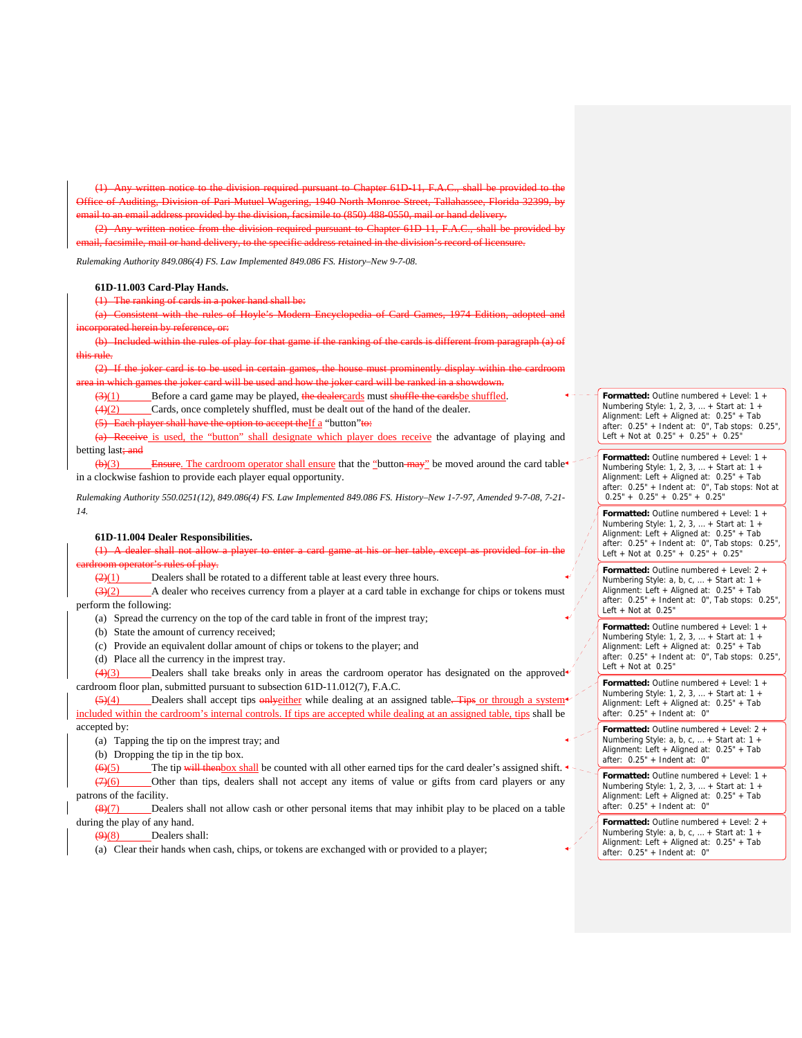(1) Any written notice to the division required pursuant to Chapter 61D-11, F.A.C., shall be provided to the Office of Auditing, Division of Pari-Mutuel Wagering, 1940 North Monroe Street, Tallahassee, Florida 32399, by il to an email address provided by the division, facsimile to  $(850)$  488-0550, mail or hand delivery.

the division required pursuant to Chapter 61D-11, F.A.C., shall be provided by

facsimile, mail or hand delivery, to the specific address retained in the division's record of licensure.

*Rulemaking Authority 849.086(4) FS. Law Implemented 849.086 FS. History–New 9-7-08.*

## **61D-11.003 Card-Play Hands.**

 $(1)$  The ranking of cards in a p

(a) Consistent with the rules of Hoyle's Modern Encyclopedia of Card Games, 1974 Edition, adopted and incorporated herein by reference, or:

(b) Included within the rules of play for that game if the ranking of the cards is different from paragraph (a) of this rule.

(2) If the joker card is to be used in certain games, the house must prominently display within the cardroom games the joker card will be used and how the joker card will be ranked in a showdown.

 $\frac{3(1)}{1}$  Before a card game may be played, the dealercards must shuffle the cards be shuffled.

(4)(2) Cards, once completely shuffled, must be dealt out of the hand of the dealer.

 $(5)$  Each player shall have the option to accept the If a "button" to:

(a) Receive is used, the "button" shall designate which player does receive the advantage of playing and betting last; and

 $(b)(3)$  Ensure. The cardroom operator shall ensure that the "button-may" be moved around the card table in a clockwise fashion to provide each player equal opportunity.

*Rulemaking Authority 550.0251(12), 849.086(4) FS. Law Implemented 849.086 FS. History–New 1-7-97, Amended 9-7-08, 7-21- 14.*

#### **61D-11.004 Dealer Responsibilities.**

 $(1)$  A dealer shall not allow a pl ator's rules of play.

 $\frac{2(1)}{2}$  Dealers shall be rotated to a different table at least every three hours.

 $\frac{(3)(2)}{2}$  A dealer who receives currency from a player at a card table in exchange for chips or tokens must perform the following:

(a) Spread the currency on the top of the card table in front of the imprest tray;

(b) State the amount of currency received;

(c) Provide an equivalent dollar amount of chips or tokens to the player; and

(d) Place all the currency in the imprest tray.

 $\frac{4}{3}$  Dealers shall take breaks only in areas the cardroom operator has designated on the approved cardroom floor plan, submitted pursuant to subsection 61D-11.012(7), F.A.C.

(5)(4) Dealers shall accept tips only either while dealing at an assigned table. Tips or through a system<sup>+</sup> included within the cardroom's internal controls. If tips are accepted while dealing at an assigned table, tips shall be accepted by:

(a) Tapping the tip on the imprest tray; and

(b) Dropping the tip in the tip box.

 $(6)(5)$  The tip will thenbox shall be counted with all other earned tips for the card dealer's assigned shift. (7)(6) Other than tips, dealers shall not accept any items of value or gifts from card players or any patrons of the facility.

 $\frac{8(8)(7)}{8}$  Dealers shall not allow cash or other personal items that may inhibit play to be placed on a table during the play of any hand.

 $\left(\frac{9}{8}\right)$  Dealers shall:

(a) Clear their hands when cash, chips, or tokens are exchanged with or provided to a player;

**Formatted:** Outline numbered + Level: 1 + Numbering Style: 1, 2, 3, … + Start at: 1 + Alignment: Left + Aligned at: 0.25" + Tab after: 0.25" + Indent at: 0", Tab stops: 0.25", Left + Not at 0.25" + 0.25" + 0.25"

**Formatted:** Outline numbered + Level: 1 + Numbering Style: 1, 2, 3, … + Start at: 1 + Alignment: Left + Aligned at: 0.25" + Tab after: 0.25" + Indent at: 0", Tab stops: Not at  $0.25" + 0.25" + 0.25" + 0.25"$ 

**Formatted:** Outline numbered + Level: 1 + Numbering Style: 1, 2, 3, … + Start at: 1 + Alignment: Left + Aligned at: 0.25" + Tab after: 0.25" + Indent at: 0", Tab stops: 0.25", Left + Not at  $0.25" + 0.25" + 0.25"$ 

**Formatted:** Outline numbered + Level: 2 + Numbering Style: a, b, c, … + Start at: 1 + Alignment: Left + Aligned at: 0.25" + Tab after: 0.25" + Indent at: 0", Tab stops: 0.25", Left + Not at  $0.25$ "

**Formatted:** Outline numbered + Level: 1 + Numbering Style: 1, 2, 3, … + Start at: 1 + Alignment: Left + Aligned at: 0.25" + Tab after: 0.25" + Indent at: 0", Tab stops: 0.25", Left  $+$  Not at  $0.25$ "

**Formatted:** Outline numbered + Level: 1 + Numbering Style: 1, 2, 3, … + Start at: 1 + Alignment: Left + Aligned at: 0.25" + Tab after: 0.25" + Indent at: 0"

**Formatted:** Outline numbered + Level: 2 + Numbering Style: a, b, c, … + Start at: 1 + Alignment: Left + Aligned at: 0.25" + Tab after: 0.25" + Indent at: 0"

**Formatted:** Outline numbered + Level: 1 + Numbering Style: 1, 2, 3, … + Start at: 1 + Alignment: Left + Aligned at: 0.25" + Tab after: 0.25" + Indent at: 0"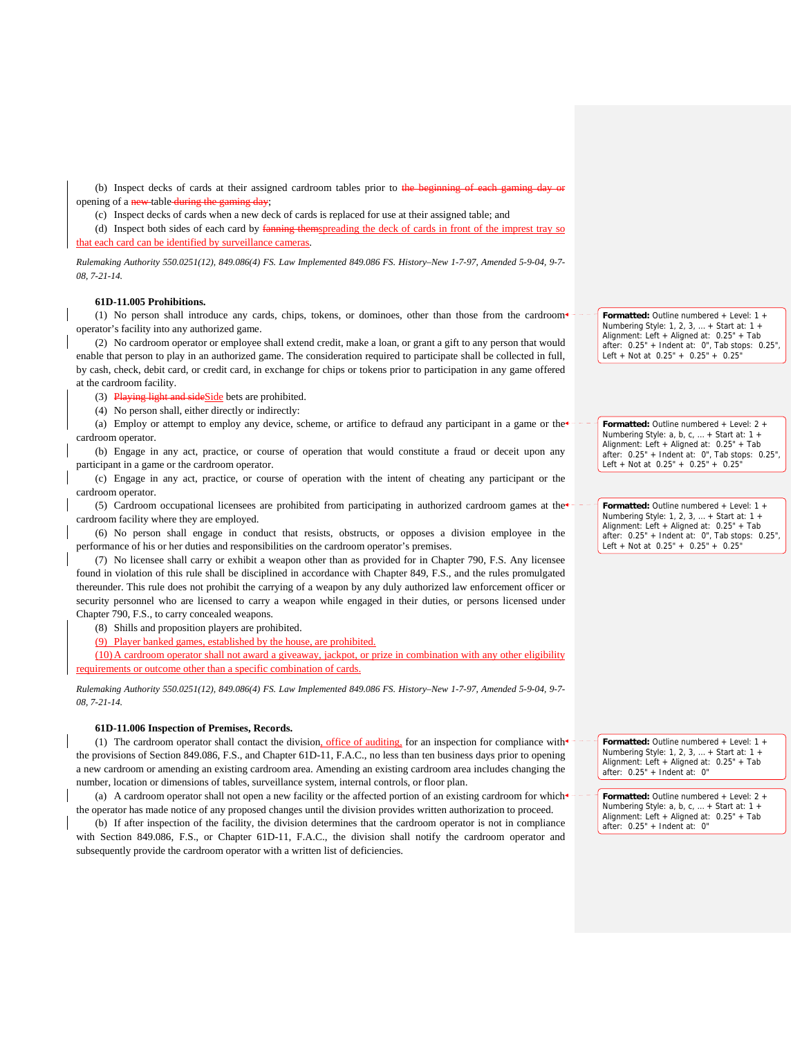(b) Inspect decks of cards at their assigned cardroom tables prior to the beginning opening of a new table during the gaming day;

(c) Inspect decks of cards when a new deck of cards is replaced for use at their assigned table; and

(d) Inspect both sides of each card by fanning themspreading the deck of cards in front of the imprest tray so that each card can be identified by surveillance cameras.

*Rulemaking Authority 550.0251(12), 849.086(4) FS. Law Implemented 849.086 FS. History–New 1-7-97, Amended 5-9-04, 9-7- 08, 7-21-14.*

### **61D-11.005 Prohibitions.**

(1) No person shall introduce any cards, chips, tokens, or dominoes, other than those from the cardroom operator's facility into any authorized game.

(2) No cardroom operator or employee shall extend credit, make a loan, or grant a gift to any person that would enable that person to play in an authorized game. The consideration required to participate shall be collected in full, by cash, check, debit card, or credit card, in exchange for chips or tokens prior to participation in any game offered at the cardroom facility.

(3) Playing light and sideSide bets are prohibited.

(4) No person shall, either directly or indirectly:

(a) Employ or attempt to employ any device, scheme, or artifice to defraud any participant in a game or the  $\epsilon$ cardroom operator.

(b) Engage in any act, practice, or course of operation that would constitute a fraud or deceit upon any participant in a game or the cardroom operator.

(c) Engage in any act, practice, or course of operation with the intent of cheating any participant or the cardroom operator.

(5) Cardroom occupational licensees are prohibited from participating in authorized cardroom games at the cardroom facility where they are employed.

(6) No person shall engage in conduct that resists, obstructs, or opposes a division employee in the performance of his or her duties and responsibilities on the cardroom operator's premises.

(7) No licensee shall carry or exhibit a weapon other than as provided for in Chapter 790, F.S. Any licensee found in violation of this rule shall be disciplined in accordance with Chapter 849, F.S., and the rules promulgated thereunder. This rule does not prohibit the carrying of a weapon by any duly authorized law enforcement officer or security personnel who are licensed to carry a weapon while engaged in their duties, or persons licensed under Chapter 790, F.S., to carry concealed weapons.

(8) Shills and proposition players are prohibited.

(9) Player banked games, established by the house, are prohibited.

(10)A cardroom operator shall not award a giveaway, jackpot, or prize in combination with any other eligibility requirements or outcome other than a specific combination of cards.

*Rulemaking Authority 550.0251(12), 849.086(4) FS. Law Implemented 849.086 FS. History–New 1-7-97, Amended 5-9-04, 9-7- 08, 7-21-14.*

#### **61D-11.006 Inspection of Premises, Records.**

(1) The cardroom operator shall contact the division, office of auditing, for an inspection for compliance with the provisions of Section 849.086, F.S., and Chapter 61D-11, F.A.C., no less than ten business days prior to opening a new cardroom or amending an existing cardroom area. Amending an existing cardroom area includes changing the number, location or dimensions of tables, surveillance system, internal controls, or floor plan.

(a) A cardroom operator shall not open a new facility or the affected portion of an existing cardroom for which the operator has made notice of any proposed changes until the division provides written authorization to proceed.

(b) If after inspection of the facility, the division determines that the cardroom operator is not in compliance with Section 849.086, F.S., or Chapter 61D-11, F.A.C., the division shall notify the cardroom operator and subsequently provide the cardroom operator with a written list of deficiencies.

**Formatted:** Outline numbered + Level: 1 + Numbering Style: 1, 2, 3, … + Start at: 1 + Alignment: Left + Aligned at: 0.25" + Tab after: 0.25" + Indent at: 0", Tab stops: 0.25", Left + Not at 0.25" + 0.25" + 0.25"

**Formatted:** Outline numbered + Level: 2 + Numbering Style: a, b, c, … + Start at: 1 + Alignment: Left + Aligned at: 0.25" + Tab after: 0.25" + Indent at: 0", Tab stops: 0.25", Left + Not at 0.25" + 0.25" + 0.25"

**Formatted:** Outline numbered + Level: 1 + Numbering Style: 1, 2, 3, … + Start at: 1 + Alignment: Left + Aligned at: 0.25" + Tab after: 0.25" + Indent at: 0", Tab stops: 0.25", Left + Not at 0.25" + 0.25" + 0.25"

**Formatted:** Outline numbered + Level: 1 + Numbering Style: 1, 2, 3, … + Start at: 1 + Alignment: Left + Aligned at: 0.25" + Tab after: 0.25" + Indent at: 0"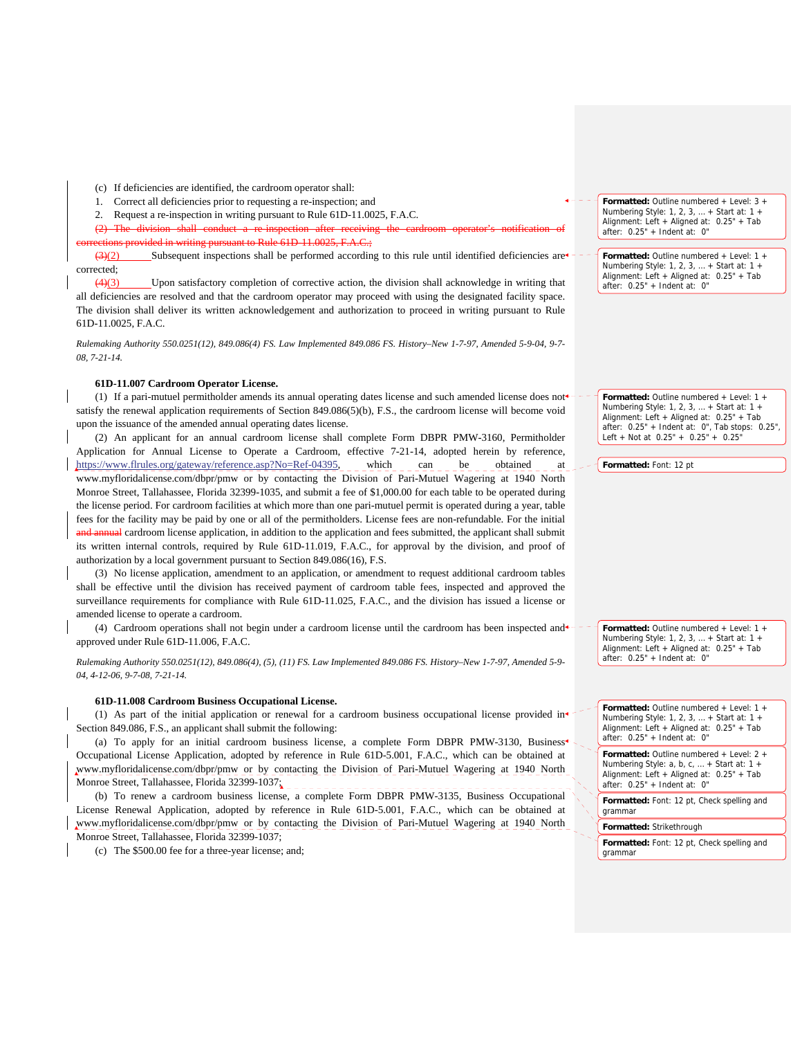(c) If deficiencies are identified, the cardroom operator shall:

- 1. Correct all deficiencies prior to requesting a re-inspection; and
- 2. Request a re-inspection in writing pursuant to Rule 61D-11.0025, F.A.C.
- $(2)$  The division shall conduct writing pursuant to Rule 61D-11.0025,  $F.A.C.:$

 $\left(3\right)\left(2\right)$  Subsequent inspections shall be performed according to this rule until identified deficiencies are corrected;

(4)(3) Upon satisfactory completion of corrective action, the division shall acknowledge in writing that all deficiencies are resolved and that the cardroom operator may proceed with using the designated facility space. The division shall deliver its written acknowledgement and authorization to proceed in writing pursuant to Rule 61D-11.0025, F.A.C.

*Rulemaking Authority 550.0251(12), 849.086(4) FS. Law Implemented 849.086 FS. History–New 1-7-97, Amended 5-9-04, 9-7- 08, 7-21-14.*

## **61D-11.007 Cardroom Operator License.**

(1) If a pari-mutuel permitholder amends its annual operating dates license and such amended license does not satisfy the renewal application requirements of Section 849.086(5)(b), F.S., the cardroom license will become void upon the issuance of the amended annual operating dates license.

(2) An applicant for an annual cardroom license shall complete Form DBPR PMW-3160, Permitholder Application for Annual License to Operate a Cardroom, effective 7-21-14, adopted herein by reference, https://www.flrules.org/gateway/reference.asp?No=Ref-04395, which can be obtained at www.myfloridalicense.com/dbpr/pmw or by contacting the Division of Pari-Mutuel Wagering at 1940 North Monroe Street, Tallahassee, Florida 32399-1035, and submit a fee of \$1,000.00 for each table to be operated during the license period. For cardroom facilities at which more than one pari-mutuel permit is operated during a year, table fees for the facility may be paid by one or all of the permitholders. License fees are non-refundable. For the initial and annual cardroom license application, in addition to the application and fees submitted, the applicant shall submit its written internal controls, required by Rule 61D-11.019, F.A.C., for approval by the division, and proof of authorization by a local government pursuant to Section 849.086(16), F.S.

(3) No license application, amendment to an application, or amendment to request additional cardroom tables shall be effective until the division has received payment of cardroom table fees, inspected and approved the surveillance requirements for compliance with Rule 61D-11.025, F.A.C., and the division has issued a license or amended license to operate a cardroom.

(4) Cardroom operations shall not begin under a cardroom license until the cardroom has been inspected and approved under Rule 61D-11.006, F.A.C.

*Rulemaking Authority 550.0251(12), 849.086(4), (5), (11) FS. Law Implemented 849.086 FS. History–New 1-7-97, Amended 5-9- 04, 4-12-06, 9-7-08, 7-21-14.* 

#### **61D-11.008 Cardroom Business Occupational License.**

(1) As part of the initial application or renewal for a cardroom business occupational license provided in<sup>4</sup> Section 849.086, F.S., an applicant shall submit the following:

(a) To apply for an initial cardroom business license, a complete Form DBPR PMW-3130, Business<sup>+</sup> Occupational License Application, adopted by reference in Rule 61D-5.001, F.A.C., which can be obtained at www.myfloridalicense.com/dbpr/pmw or by contacting the Division of Pari-Mutuel Wagering at 1940 North Monroe Street, Tallahassee, Florida 32399-1037;

(b) To renew a cardroom business license, a complete Form DBPR PMW-3135, Business Occupational License Renewal Application, adopted by reference in Rule 61D-5.001, F.A.C., which can be obtained at www.myfloridalicense.com/dbpr/pmw or by contacting the Division of Pari-Mutuel Wagering at 1940 North Monroe Street, Tallahassee, Florida 32399-1037;

(c) The \$500.00 fee for a three-year license; and;

**Formatted:** Outline numbered + Level: 3 + Numbering Style: 1, 2, 3, … + Start at: 1 + Alignment: Left + Aligned at: 0.25" + Tab after: 0.25" + Indent at: 0"

**Formatted:** Outline numbered + Level: 1 + Numbering Style: 1, 2, 3, … + Start at: 1 + Alignment: Left + Aligned at: 0.25" + Tab after: 0.25" + Indent at: 0"

**Formatted:** Outline numbered + Level: 1 + Numbering Style: 1, 2, 3, … + Start at: 1 + Alignment: Left + Aligned at: 0.25" + Tab after: 0.25" + Indent at: 0", Tab stops: 0.25", Left + Not at 0.25" + 0.25" + 0.25"

**Formatted:** Font: 12 pt

**Formatted:** Outline numbered + Level: 1 + Numbering Style: 1, 2, 3, … + Start at: 1 + Alignment: Left + Aligned at: 0.25" + Tab after: 0.25" + Indent at: 0"

**Formatted:** Outline numbered + Level: 1 + Numbering Style: 1, 2, 3, … + Start at: 1 + Alignment: Left + Aligned at: 0.25" + Tab after: 0.25" + Indent at: 0"

**Formatted:** Outline numbered + Level: 2 + Numbering Style: a, b, c, … + Start at: 1 + Alignment: Left + Aligned at: 0.25" + Tab after: 0.25" + Indent at: 0"

**Formatted:** Font: 12 pt, Check spelling and grammar

**Formatted:** Strikethrough

**Formatted:** Font: 12 pt, Check spelling and grammar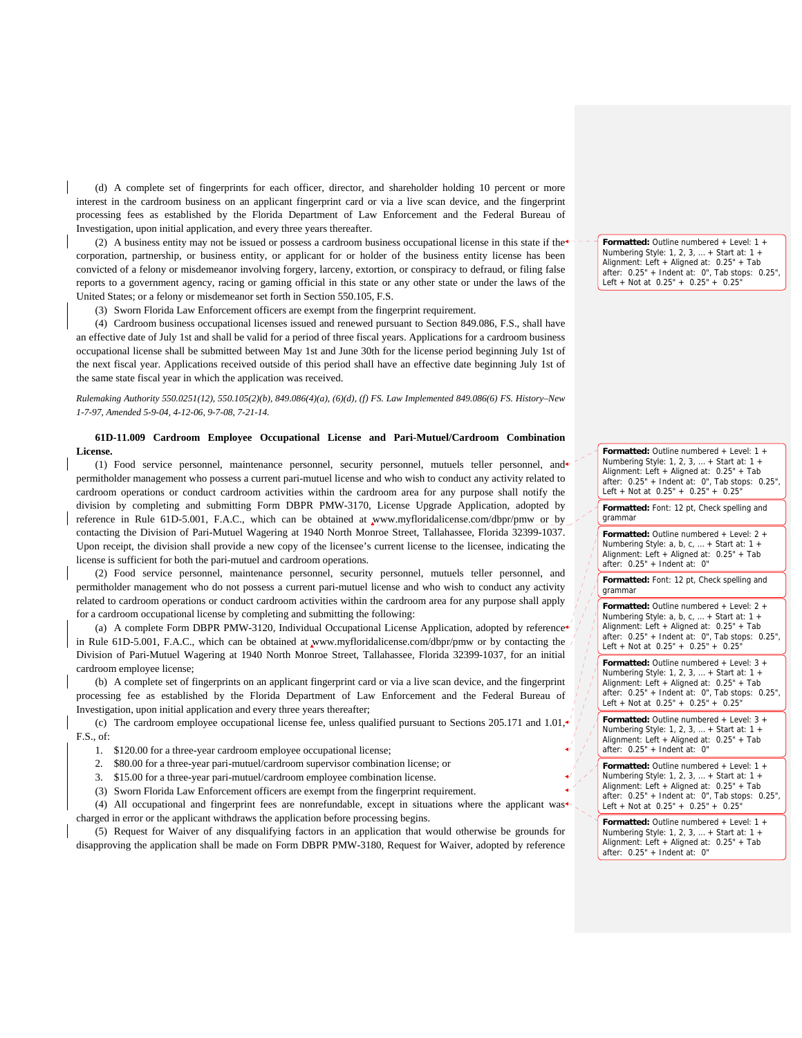(d) A complete set of fingerprints for each officer, director, and shareholder holding 10 percent or more interest in the cardroom business on an applicant fingerprint card or via a live scan device, and the fingerprint processing fees as established by the Florida Department of Law Enforcement and the Federal Bureau of Investigation, upon initial application, and every three years thereafter.

(2) A business entity may not be issued or possess a cardroom business occupational license in this state if the corporation, partnership, or business entity, or applicant for or holder of the business entity license has been convicted of a felony or misdemeanor involving forgery, larceny, extortion, or conspiracy to defraud, or filing false reports to a government agency, racing or gaming official in this state or any other state or under the laws of the United States; or a felony or misdemeanor set forth in Section 550.105, F.S.

(3) Sworn Florida Law Enforcement officers are exempt from the fingerprint requirement.

(4) Cardroom business occupational licenses issued and renewed pursuant to Section 849.086, F.S., shall have an effective date of July 1st and shall be valid for a period of three fiscal years. Applications for a cardroom business occupational license shall be submitted between May 1st and June 30th for the license period beginning July 1st of the next fiscal year. Applications received outside of this period shall have an effective date beginning July 1st of the same state fiscal year in which the application was received.

## *Rulemaking Authority 550.0251(12), 550.105(2)(b), 849.086(4)(a), (6)(d), (f) FS. Law Implemented 849.086(6) FS. History–New 1-7-97, Amended 5-9-04, 4-12-06, 9-7-08, 7-21-14.*

## **61D-11.009 Cardroom Employee Occupational License and Pari-Mutuel/Cardroom Combination License.**

(1) Food service personnel, maintenance personnel, security personnel, mutuels teller personnel, and permitholder management who possess a current pari-mutuel license and who wish to conduct any activity related to cardroom operations or conduct cardroom activities within the cardroom area for any purpose shall notify the division by completing and submitting Form DBPR PMW-3170, License Upgrade Application, adopted by reference in Rule 61D-5.001, F.A.C., which can be obtained at www.myfloridalicense.com/dbpr/pmw or by contacting the Division of Pari-Mutuel Wagering at 1940 North Monroe Street, Tallahassee, Florida 32399-1037. Upon receipt, the division shall provide a new copy of the licensee's current license to the licensee, indicating the license is sufficient for both the pari-mutuel and cardroom operations.

(2) Food service personnel, maintenance personnel, security personnel, mutuels teller personnel, and permitholder management who do not possess a current pari-mutuel license and who wish to conduct any activity related to cardroom operations or conduct cardroom activities within the cardroom area for any purpose shall apply for a cardroom occupational license by completing and submitting the following:

(a) A complete Form DBPR PMW-3120, Individual Occupational License Application, adopted by reference<sup>+</sup> in Rule 61D-5.001, F.A.C., which can be obtained at www.myfloridalicense.com/dbpr/pmw or by contacting the Division of Pari-Mutuel Wagering at 1940 North Monroe Street, Tallahassee, Florida 32399-1037, for an initial cardroom employee license;

(b) A complete set of fingerprints on an applicant fingerprint card or via a live scan device, and the fingerprint processing fee as established by the Florida Department of Law Enforcement and the Federal Bureau of Investigation, upon initial application and every three years thereafter;

(c) The cardroom employee occupational license fee, unless qualified pursuant to Sections 205.171 and 1.01, F.S., of:

1. \$120.00 for a three-year cardroom employee occupational license;

2. \$80.00 for a three-year pari-mutuel/cardroom supervisor combination license; or

3. \$15.00 for a three-year pari-mutuel/cardroom employee combination license.

(3) Sworn Florida Law Enforcement officers are exempt from the fingerprint requirement.

(4) All occupational and fingerprint fees are nonrefundable, except in situations where the applicant was charged in error or the applicant withdraws the application before processing begins.

(5) Request for Waiver of any disqualifying factors in an application that would otherwise be grounds for disapproving the application shall be made on Form DBPR PMW-3180, Request for Waiver, adopted by reference

**Formatted:** Outline numbered + Level: 1 + Numbering Style: 1, 2, 3, … + Start at: 1 + Alignment: Left + Aligned at: 0.25" + Tab after: 0.25" + Indent at: 0", Tab stops: 0.25", Left + Not at 0.25" + 0.25" + 0.25"

**Formatted:** Outline numbered + Level: 1 + Numbering Style: 1, 2, 3, … + Start at: 1 + Alignment: Left + Aligned at: 0.25" + Tab after: 0.25" + Indent at: 0", Tab stops: 0.25", Left + Not at 0.25" + 0.25" + 0.25"

**Formatted:** Font: 12 pt, Check spelling and grammar

**Formatted:** Outline numbered + Level: 2 + Numbering Style: a, b, c, … + Start at: 1 + Alignment: Left + Aligned at: 0.25" + Tab after: 0.25" + Indent at: 0"

**Formatted:** Font: 12 pt, Check spelling and grammar

**Formatted:** Outline numbered + Level: 2 + Numbering Style: a, b, c, … + Start at: 1 + Alignment: Left + Aligned at: 0.25" + Tab after: 0.25" + Indent at: 0", Tab stops: 0.25", Left + Not at  $0.25" + 0.25" + 0.25"$ 

**Formatted:** Outline numbered + Level: 3 + Numbering Style: 1, 2, 3, … + Start at: 1 + Alignment: Left + Aligned at: 0.25" + Tab after: 0.25" + Indent at: 0", Tab stops: 0.25", Left + Not at 0.25" + 0.25" + 0.25"

**Formatted:** Outline numbered + Level: 3 + Numbering Style: 1, 2, 3, … + Start at: 1 + Alignment: Left + Aligned at: 0.25" + Tab after: 0.25" + Indent at: 0"

**Formatted:** Outline numbered + Level: 1 + Numbering Style: 1, 2, 3, … + Start at: 1 + Alignment: Left + Aligned at: 0.25" + Tab after: 0.25" + Indent at: 0", Tab stops: 0.25", Left + Not at  $0.25" + 0.25" + 0.25"$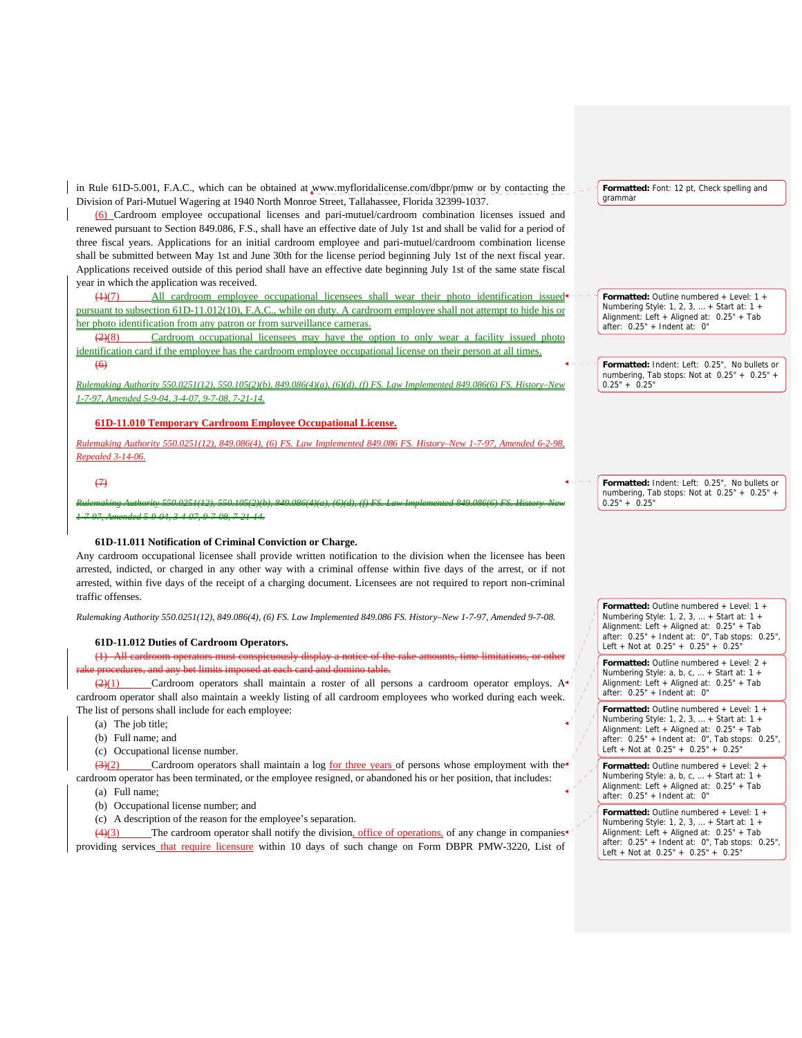in Rule 61D-5.001, F.A.C., which can be obtained at www.myfloridalicense.com/dbpr/pmw or by contacting the Division of Pari-Mutuel Wagering at 1940 North Monroe Street, Tallahassee, Florida 32399-1037.

(6) Cardroom employee occupational licenses and pari-mutuel/cardroom combination licenses issued and renewed pursuant to Section 849.086, F.S., shall have an effective date of July 1st and shall be valid for a period of three fiscal years. Applications for an initial cardroom employee and pari-mutuel/cardroom combination license shall be submitted between May 1st and June 30th for the license period beginning July 1st of the next fiscal year. Applications received outside of this period shall have an effective date beginning July 1st of the same state fiscal year in which the application was received.

(1)(7) All cardroom employee occupational licensees shall wear their photo identification pursuant to subsection 61D-11.012(10), F.A.C., while on duty. A cardroom employee shall not attempt to hide his or her photo identification from any patron or from surveillance cameras.

(2)(8) Cardroom occupational licensees may have the option to only wear a facility issued photo identification card if the employee has the cardroom employee occupational license on their person at all times.  $(6)$ 

*Rulemaking Authority 550.0251(12), 550.105(2)(b), 849.086(4)(a), (6)(d), (f) FS. Law Implemented 849.086(6) FS. History–New 1-7-97, Amended 5-9-04, 3-4-07, 9-7-08, 7-21-14.*

### **61D-11.010 Temporary Cardroom Employee Occupational License.**

*Rulemaking Authority 550.0251(12), 849.086(4), (6) FS. Law Implemented 849.086 FS. History–New 1-7-97, Amended 6-2-98, Repealed 3-14-06.*

### $\leftrightarrow$

*Rulemaking Authority 550.0251(12), 550.105(2)(b), 849.086(4)(a), (6)(d), (f) FS. Law Implemented 849.086(6) FS. History–New 1-7-97, Amended 5-9-04, 3-4-07, 9-7-08, 7-21-14.*

#### **61D-11.011 Notification of Criminal Conviction or Charge.**

Any cardroom occupational licensee shall provide written notification to the division when the licensee has been arrested, indicted, or charged in any other way with a criminal offense within five days of the arrest, or if not arrested, within five days of the receipt of a charging document. Licensees are not required to report non-criminal traffic offenses.

*Rulemaking Authority 550.0251(12), 849.086(4), (6) FS. Law Implemented 849.086 FS. History–New 1-7-97, Amended 9-7-08.*

#### **61D-11.012 Duties of Cardroom Operators.**

(1) All cardroom operators must conspicuously display a notice of the rake amounts, time limitations, or other d at each card and domino table.

 $\frac{(2)(1)}{2}$  Cardroom operators shall maintain a roster of all persons a cardroom operator employs. A cardroom operator shall also maintain a weekly listing of all cardroom employees who worked during each week. The list of persons shall include for each employee:

- (a) The job title:
- (b) Full name; and
- (c) Occupational license number.

(3)(2) Cardroom operators shall maintain a log for three years of persons whose employment with the cardroom operator has been terminated, or the employee resigned, or abandoned his or her position, that includes: (a) Full name;

- (b) Occupational license number; and
- (c) A description of the reason for the employee's separation.

 $\frac{4}{3}$  The cardroom operator shall notify the division, office of operations, of any change in companies<sup>4</sup> providing services that require licensure within 10 days of such change on Form DBPR PMW-3220, List of

**Formatted:** Font: 12 pt, Check spelling and grammar

**Formatted:** Outline numbered + Level: 1 + Numbering Style: 1, 2, 3, … + Start at: 1 + Alignment: Left + Aligned at: 0.25" + Tab after: 0.25" + Indent at: 0"

**Formatted:** Indent: Left: 0.25", No bullets or numbering, Tab stops: Not at 0.25" + 0.25" +  $0.25" + 0.25"$ 

**Formatted:** Indent: Left: 0.25", No bullets or numbering, Tab stops: Not at 0.25" + 0.25" +  $0.25" + 0.25"$ 

**Formatted:** Outline numbered + Level: 1 + Numbering Style: 1, 2, 3, … + Start at: 1 + Alignment: Left + Aligned at: 0.25" + Tab after: 0.25" + Indent at: 0", Tab stops: 0.25", Left + Not at  $0.25" + 0.25" + 0.25"$ 

**Formatted:** Outline numbered + Level: 2 + Numbering Style: a, b, c, … + Start at: 1 + Alignment: Left + Aligned at: 0.25" + Tab after: 0.25" + Indent at: 0"

**Formatted:** Outline numbered + Level: 1 + Numbering Style: 1, 2, 3, … + Start at: 1 + Alignment: Left + Aligned at: 0.25" + Tab after: 0.25" + Indent at: 0", Tab stops: 0.25", Left + Not at 0.25" + 0.25" + 0.25"

**Formatted:** Outline numbered + Level: 2 + Numbering Style: a, b, c, … + Start at: 1 + Alignment: Left + Aligned at: 0.25" + Tab after: 0.25" + Indent at: 0"

**Formatted:** Outline numbered + Level: 1 + Numbering Style: 1, 2, 3, ... + Start at: 1 + Alignment: Left + Aligned at: 0.25" + Tab after: 0.25" + Indent at: 0", Tab stops: 0.25", Left + Not at 0.25" + 0.25" + 0.25"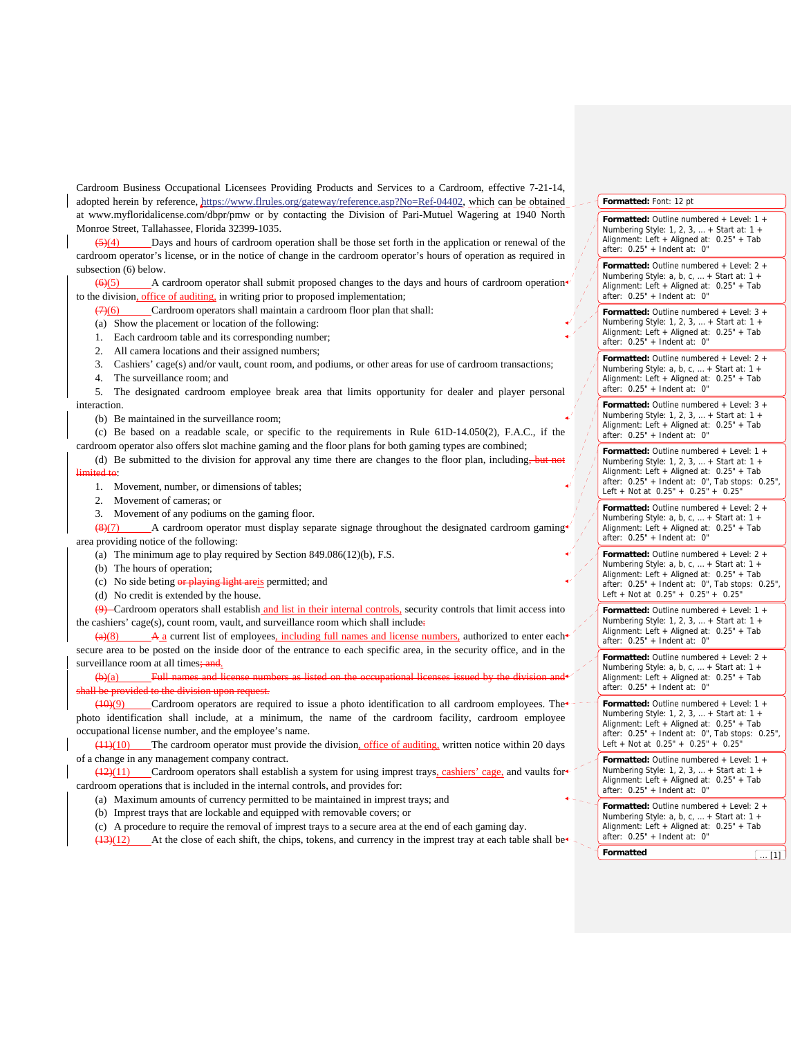Cardroom Business Occupational Licensees Providing Products and Services to a Cardroom, effective 7-21-14, adopted herein by reference, https://www.flrules.org/gateway/reference.asp?No=Ref-04402, which can be obtained at www.myfloridalicense.com/dbpr/pmw or by contacting the Division of Pari-Mutuel Wagering at 1940 North Monroe Street, Tallahassee, Florida 32399-1035.

 $(5)(4)$  Days and hours of cardroom operation shall be those set forth in the application or renewal of the cardroom operator's license, or in the notice of change in the cardroom operator's hours of operation as required in subsection (6) below.

 $\left(\frac{6}{5}\right)$  A cardroom operator shall submit proposed changes to the days and hours of cardroom operation to the division, office of auditing, in writing prior to proposed implementation;

 $\left(7\right)\left(6\right)$  Cardroom operators shall maintain a cardroom floor plan that shall:

- (a) Show the placement or location of the following:
- 1. Each cardroom table and its corresponding number;
- 2. All camera locations and their assigned numbers;
- 3. Cashiers' cage(s) and/or vault, count room, and podiums, or other areas for use of cardroom transactions;
- 4. The surveillance room; and

5. The designated cardroom employee break area that limits opportunity for dealer and player personal interaction.

(b) Be maintained in the surveillance room;

(c) Be based on a readable scale, or specific to the requirements in Rule 61D-14.050(2), F.A.C., if the cardroom operator also offers slot machine gaming and the floor plans for both gaming types are combined;

(d) Be submitted to the division for approval any time there are changes to the floor plan, including, but limited to:

1. Movement, number, or dimensions of tables;

- 2. Movement of cameras; or
- 3. Movement of any podiums on the gaming floor.

 $(8)(7)$  A cardroom operator must display separate signage throughout the designated cardroom gaming area providing notice of the following:

(a) The minimum age to play required by Section 849.086(12)(b), F.S.

(b) The hours of operation;

(c) No side beting or playing light areis permitted; and

(d) No credit is extended by the house.

(9) Cardroom operators shall establish and list in their internal controls, security controls that limit access into the cashiers' cage(s), count room, vault, and surveillance room which shall include.

 $\overline{A}$  a current list of employees, including full names and license numbers, authorized to enter each secure area to be posted on the inside door of the entrance to each specific area, in the security office, and in the surveillance room at all times; and.

 $(b)(a)$  Full names and license numbers as listed on the occupational licenses is under the division and licenses is under the division and licenses is under the division and licenses is used to the division and the divisio Il be provided to the division upon request.

(10)(9) Cardroom operators are required to issue a photo identification to all cardroom employees. The photo identification shall include, at a minimum, the name of the cardroom facility, cardroom employee occupational license number, and the employee's name.

(11)(10) The cardroom operator must provide the division, office of auditing, written notice within 20 days of a change in any management company contract.

(12)(11) Cardroom operators shall establish a system for using imprest trays, cashiers' cage, and vaults for cardroom operations that is included in the internal controls, and provides for:

- (a) Maximum amounts of currency permitted to be maintained in imprest trays; and
- (b) Imprest trays that are lockable and equipped with removable covers; or

(c) A procedure to require the removal of imprest trays to a secure area at the end of each gaming day.

 $(13)(12)$  At the close of each shift, the chips, tokens, and currency in the imprest tray at each table shall be

## **Formatted:** Font: 12 pt

**Formatted:** Outline numbered + Level: 1 + Numbering Style: 1, 2, 3, … + Start at: 1 + Alignment: Left + Aligned at: 0.25" + Tab after: 0.25" + Indent at: 0"

**Formatted:** Outline numbered + Level: 2 + Numbering Style: a, b, c, ... + Start at: 1 -Alignment: Left + Aligned at: 0.25" + Tab after: 0.25" + Indent at: 0"

**Formatted:** Outline numbered + Level: 3 + Numbering Style: 1, 2, 3, … + Start at: 1 + Alignment: Left + Aligned at: 0.25" + Tab after: 0.25" + Indent at: 0"

**Formatted:** Outline numbered + Level: 2 + Numbering Style: a, b, c, … + Start at: 1 + Alignment: Left + Aligned at: 0.25" + Tab after:  $0.25" +$  Indent at: 0"

**Formatted:** Outline numbered + Level: 3 + Numbering Style: 1, 2, 3, … + Start at: 1 + Alignment: Left + Aligned at: 0.25" + Tab after: 0.25" + Indent at: 0"

**Formatted:** Outline numbered + Level: 1 + Numbering Style: 1, 2, 3, … + Start at: 1 + Alignment: Left + Aligned at: 0.25" + Tab after: 0.25" + Indent at: 0", Tab stops: 0.25", Left + Not at 0.25" + 0.25" + 0.25"

**Formatted:** Outline numbered + Level: 2 + Numbering Style: a, b, c, … + Start at: 1 + Alignment: Left + Aligned at: 0.25" + Tab after:  $0.25"$  + Indent at: 0"

**Formatted:** Outline numbered + Level: 2 + Numbering Style: a, b, c, … + Start at: 1 + Alignment: Left + Aligned at: 0.25" + Tab after: 0.25" + Indent at: 0", Tab stops: 0.25", Left + Not at 0.25" + 0.25" + 0.25"

**Formatted:** Outline numbered + Level: 1 + Numbering Style: 1, 2, 3, … + Start at: 1 + Alignment: Left + Aligned at: 0.25" + Tab after: 0.25" + Indent at: 0"

**Formatted:** Outline numbered + Level: 2 + Numbering Style: a, b, c, ... + Start at: 1 + Alignment: Left + Aligned at: 0.25" + Tab after: 0.25" + Indent at: 0"

**Formatted:** Outline numbered + Level: 1 + Numbering Style: 1, 2, 3, … + Start at: 1 + Alignment: Left + Aligned at: 0.25" + Tab after: 0.25" + Indent at: 0", Tab stops: 0.25", Left + Not at 0.25" + 0.25" + 0.25"

**Formatted:** Outline numbered + Level: 1 + Numbering Style: 1, 2, 3, … + Start at: 1 + Alignment: Left + Aligned at: 0.25" + Tab after:  $0.25"$  + Indent at:  $0"$ 

**Formatted:** Outline numbered + Level: 2 + Numbering Style: a, b, c, … + Start at: 1 + Alignment: Left + Aligned at: 0.25" + Tab after: 0.25" + Indent at: 0"

**Formatted CONSIDERING**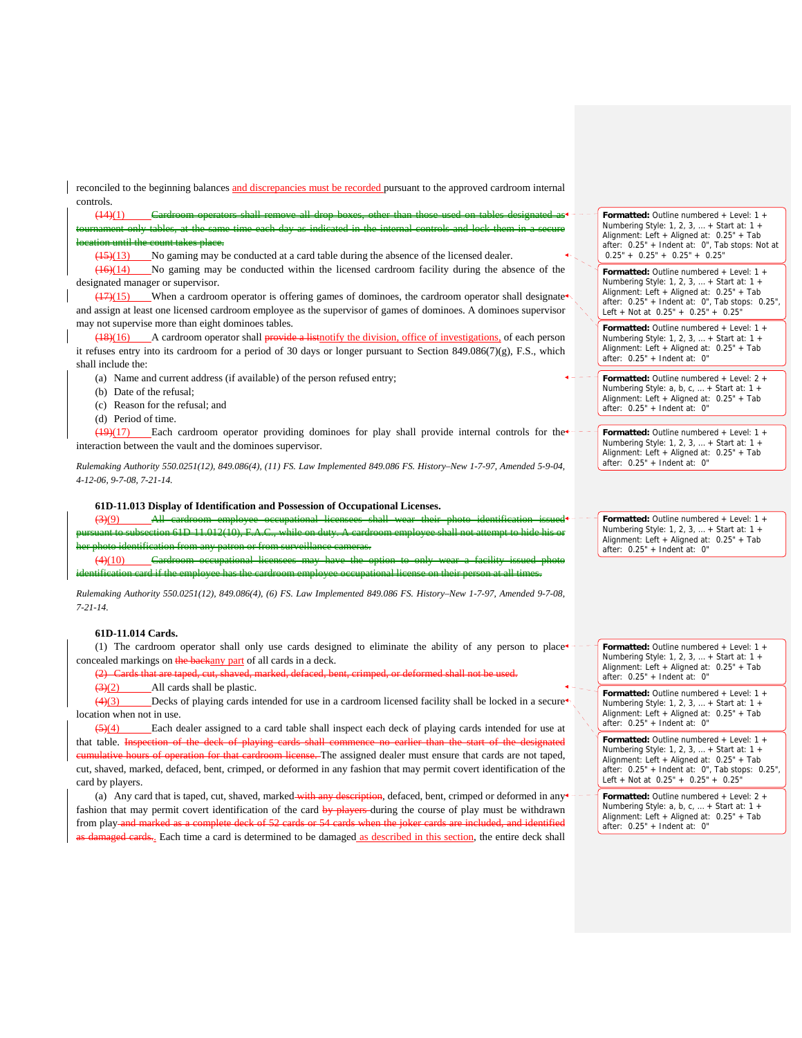reconciled to the beginning balances and discrepancies must be recorded pursuant to the approved cardroom internal controls.

(14)(1) Cardroom operators shall remove all drop boxes, other than those used on tables designated as tournament only tables, at the same time each day as indicated in the internal controls and lock them in a secure

## location until the count takes place.

 $(15)(13)$  No gaming may be conducted at a card table during the absence of the licensed dealer.

(16)(14) No gaming may be conducted within the licensed cardroom facility during the absence of the designated manager or supervisor.

 $(17)(15)$  When a cardroom operator is offering games of dominoes, the cardroom operator shall designate and assign at least one licensed cardroom employee as the supervisor of games of dominoes. A dominoes supervisor may not supervise more than eight dominoes tables.

(18)(16) A cardroom operator shall provide a listnotify the division, office of investigations, of each person it refuses entry into its cardroom for a period of 30 days or longer pursuant to Section 849.086(7)(g), F.S., which shall include the:

(a) Name and current address (if available) of the person refused entry;

- (b) Date of the refusal;
- (c) Reason for the refusal; and

(d) Period of time.

(19)(17) Each cardroom operator providing dominoes for play shall provide internal controls for the interaction between the vault and the dominoes supervisor.

*Rulemaking Authority 550.0251(12), 849.086(4), (11) FS. Law Implemented 849.086 FS. History–New 1-7-97, Amended 5-9-04, 4-12-06, 9-7-08, 7-21-14.*

### **61D-11.013 Display of Identification and Possession of Occupational Licenses.**

|                                                                                                                    |  | All cardroom employee occupational licensees shall wear their photo identification issued |  |  |  |  |  |  |
|--------------------------------------------------------------------------------------------------------------------|--|-------------------------------------------------------------------------------------------|--|--|--|--|--|--|
| pursuant to subsection 61D-11.012(10), F.A.C., while on duty. A cardroom employee shall not attempt to hide his or |  |                                                                                           |  |  |  |  |  |  |
| her photo identification from any patron or from surveillance cameras.                                             |  |                                                                                           |  |  |  |  |  |  |
|                                                                                                                    |  | Cordroom compational ligancese may have the ontion to only weer a feelity issued photo    |  |  |  |  |  |  |

identification card if the employee has the cardroom employee occupational license on their person

*Rulemaking Authority 550.0251(12), 849.086(4), (6) FS. Law Implemented 849.086 FS. History–New 1-7-97, Amended 9-7-08, 7-21-14.* 

## **61D-11.014 Cards.**

(1) The cardroom operator shall only use cards designed to eliminate the ability of any person to place  $\epsilon$  concealed markings on the backany part of all cards in a deck.

(2) Cards that are taped, cut, shaved, marked, defaced, bent, crimped, or deformed shall not be used.

## $\left(\frac{3}{2}\right)$  All cards shall be plastic.

 $(4)(3)$  Decks of playing cards intended for use in a cardroom licensed facility shall be locked in a secure location when not in use.

 $\frac{(5)(4)}{2}$  Each dealer assigned to a card table shall inspect each deck of playing cards intended for use at that table. Inspection of the deck of playing cards shall commence no earlier than the start of the designated cumulative hours of operation for that cardroom license. The assigned dealer must ensure that cards are not taped, cut, shaved, marked, defaced, bent, crimped, or deformed in any fashion that may permit covert identification of the card by players.

(a) Any card that is taped, cut, shaved, marked with any description, defaced, bent, crimped or deformed in any fashion that may permit covert identification of the card by players-during the course of play must be withdrawn from play and marked as a complete deck of 52 cards or 54 cards when the joker cards are included, and identified damaged cards... Each time a card is determined to be damaged as described in this section, the entire deck shall **Formatted:** Outline numbered + Level: 1 + Numbering Style: 1, 2, 3, … + Start at: 1 + Alignment: Left + Aligned at: 0.25" + Tab after: 0.25" + Indent at: 0", Tab stops: Not at  $0.25" + 0.25" + 0.25" + 0.25"$ 

**Formatted:** Outline numbered + Level: 1 + Numbering Style: 1, 2, 3, … + Start at: 1 + Alignment: Left + Aligned at: 0.25" + Tab after: 0.25" + Indent at: 0", Tab stops: 0.25", Left + Not at 0.25" + 0.25" + 0.25"

**Formatted:** Outline numbered + Level: 1 + Numbering Style: 1, 2, 3, … + Start at: 1 + Alignment: Left + Aligned at: 0.25" + Tab after: 0.25" + Indent at: 0"

**Formatted:** Outline numbered + Level: 2 + Numbering Style: a, b, c, … + Start at: 1 + Alignment: Left + Aligned at: 0.25" + Tab after: 0.25" + Indent at: 0"

**Formatted:** Outline numbered + Level: 1 + Numbering Style: 1, 2, 3, … + Start at: 1 + Alignment: Left + Aligned at: 0.25" + Tab after: 0.25" + Indent at: 0"

**Formatted:** Outline numbered + Level: 1 + Numbering Style: 1, 2, 3, … + Start at: 1 + Alignment: Left + Aligned at: 0.25" + Tab after: 0.25" + Indent at: 0"

**Formatted:** Outline numbered + Level: 1 + Numbering Style: 1, 2, 3, … + Start at: 1 + Alignment: Left + Aligned at: 0.25" + Tab after: 0.25" + Indent at: 0"

**Formatted:** Outline numbered + Level: 1 + Numbering Style: 1, 2, 3, … + Start at: 1 + Alignment: Left + Aligned at: 0.25" + Tab after: 0.25" + Indent at: 0"

**Formatted:** Outline numbered + Level: 1 + Numbering Style: 1, 2, 3, … + Start at: 1 + Alignment: Left + Aligned at: 0.25" + Tab after: 0.25" + Indent at: 0", Tab stops: 0.25", Left + Not at 0.25" + 0.25" + 0.25"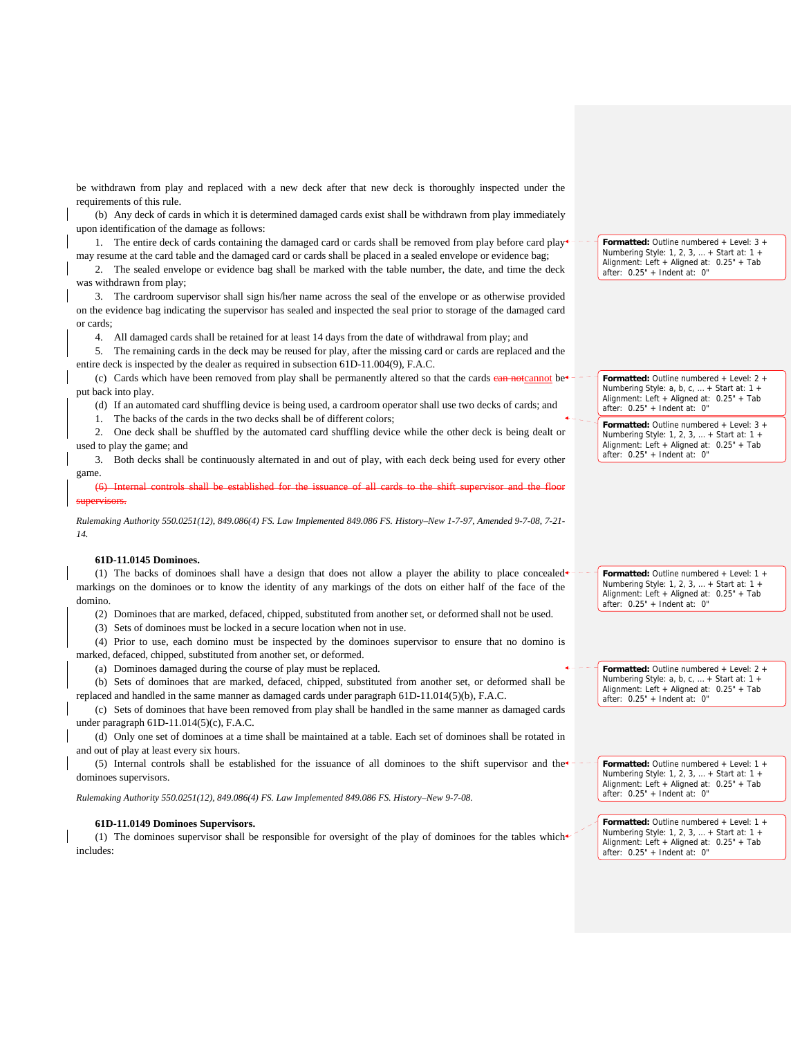be withdrawn from play and replaced with a new deck after that new deck is thoroughly inspected under the requirements of this rule.

(b) Any deck of cards in which it is determined damaged cards exist shall be withdrawn from play immediately upon identification of the damage as follows:

1. The entire deck of cards containing the damaged card or cards shall be removed from play before card play may resume at the card table and the damaged card or cards shall be placed in a sealed envelope or evidence bag;

2. The sealed envelope or evidence bag shall be marked with the table number, the date, and time the deck was withdrawn from play;

3. The cardroom supervisor shall sign his/her name across the seal of the envelope or as otherwise provided on the evidence bag indicating the supervisor has sealed and inspected the seal prior to storage of the damaged card or cards;

4. All damaged cards shall be retained for at least 14 days from the date of withdrawal from play; and

5. The remaining cards in the deck may be reused for play, after the missing card or cards are replaced and the entire deck is inspected by the dealer as required in subsection 61D-11.004(9), F.A.C.

(c) Cards which have been removed from play shall be permanently altered so that the cards can not cannot be put back into play.

(d) If an automated card shuffling device is being used, a cardroom operator shall use two decks of cards; and

1. The backs of the cards in the two decks shall be of different colors;

2. One deck shall be shuffled by the automated card shuffling device while the other deck is being dealt or used to play the game; and

3. Both decks shall be continuously alternated in and out of play, with each deck being used for every other game.

(6) Internal controls shall be established for the issuance of all cards to the shift supervisor and the floor supervisors.

*Rulemaking Authority 550.0251(12), 849.086(4) FS. Law Implemented 849.086 FS. History–New 1-7-97, Amended 9-7-08, 7-21- 14.*

## **61D-11.0145 Dominoes.**

(1) The backs of dominoes shall have a design that does not allow a player the ability to place concealed markings on the dominoes or to know the identity of any markings of the dots on either half of the face of the domino.

(2) Dominoes that are marked, defaced, chipped, substituted from another set, or deformed shall not be used.

(3) Sets of dominoes must be locked in a secure location when not in use.

(4) Prior to use, each domino must be inspected by the dominoes supervisor to ensure that no domino is marked, defaced, chipped, substituted from another set, or deformed.

(a) Dominoes damaged during the course of play must be replaced.

(b) Sets of dominoes that are marked, defaced, chipped, substituted from another set, or deformed shall be replaced and handled in the same manner as damaged cards under paragraph 61D-11.014(5)(b), F.A.C.

(c) Sets of dominoes that have been removed from play shall be handled in the same manner as damaged cards under paragraph 61D-11.014(5)(c), F.A.C.

(d) Only one set of dominoes at a time shall be maintained at a table. Each set of dominoes shall be rotated in and out of play at least every six hours.

(5) Internal controls shall be established for the issuance of all dominoes to the shift supervisor and the dominoes supervisors.

*Rulemaking Authority 550.0251(12), 849.086(4) FS. Law Implemented 849.086 FS. History–New 9-7-08.*

#### **61D-11.0149 Dominoes Supervisors.**

(1) The dominoes supervisor shall be responsible for oversight of the play of dominoes for the tables which includes:

**Formatted:** Outline numbered + Level: 3 + Numbering Style: 1, 2, 3, … + Start at: 1 + Alignment: Left + Aligned at: 0.25" + Tab after: 0.25" + Indent at: 0"

**Formatted:** Outline numbered + Level: 2 + Numbering Style: a, b, c, … + Start at: 1 + Alignment: Left + Aligned at: 0.25" + Tab after: 0.25" + Indent at: 0"

**Formatted:** Outline numbered + Level: 3 + Numbering Style: 1, 2, 3, … + Start at: 1 + Alignment: Left + Aligned at: 0.25" + Tab after: 0.25" + Indent at: 0"

**Formatted:** Outline numbered + Level: 1 + Numbering Style: 1, 2, 3, … + Start at: 1 + Alignment: Left + Aligned at: 0.25" + Tab after: 0.25" + Indent at: 0"

**Formatted:** Outline numbered + Level: 2 + Numbering Style:  $a, b, c, ... +$  Start at: 1 + Alignment: Left + Aligned at: 0.25" + Tab after: 0.25" + Indent at: 0"

**Formatted:** Outline numbered + Level: 1 + Numbering Style: 1, 2, 3, … + Start at: 1 + Alignment: Left + Aligned at: 0.25" + Tab after: 0.25" + Indent at: 0"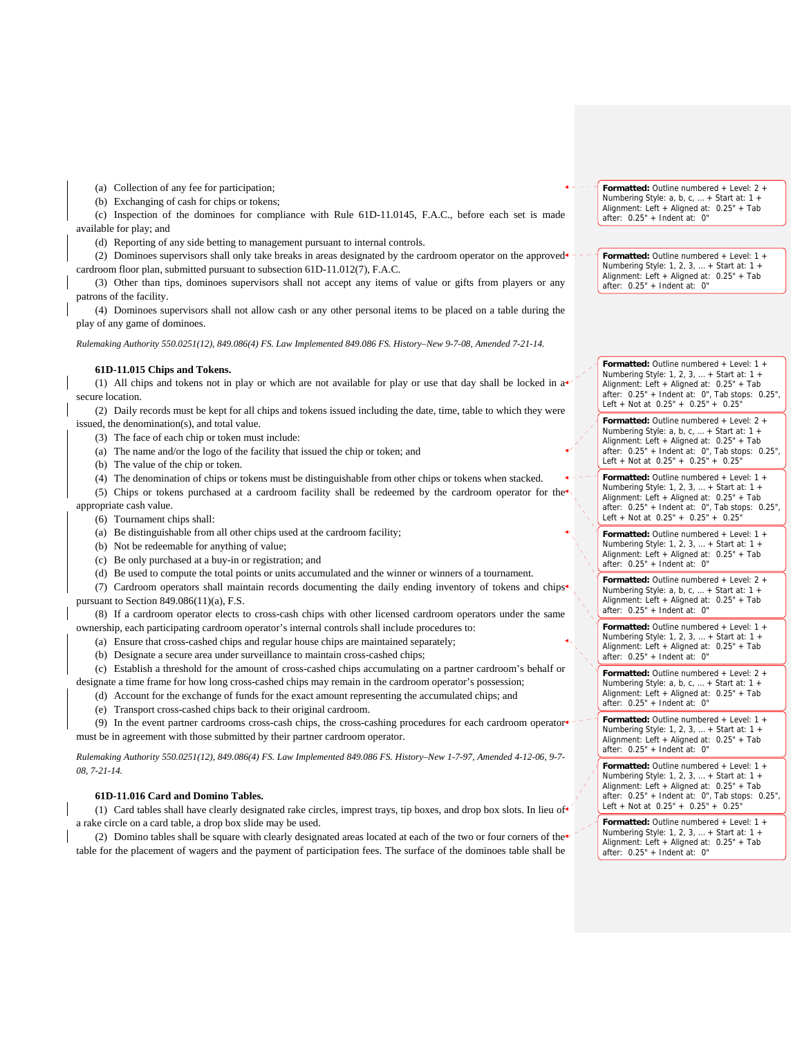(a) Collection of any fee for participation;

(b) Exchanging of cash for chips or tokens;

(c) Inspection of the dominoes for compliance with Rule 61D-11.0145, F.A.C., before each set is made available for play; and

(d) Reporting of any side betting to management pursuant to internal controls.

(2) Dominoes supervisors shall only take breaks in areas designated by the cardroom operator on the approved cardroom floor plan, submitted pursuant to subsection 61D-11.012(7), F.A.C.

(3) Other than tips, dominoes supervisors shall not accept any items of value or gifts from players or any patrons of the facility.

(4) Dominoes supervisors shall not allow cash or any other personal items to be placed on a table during the play of any game of dominoes.

*Rulemaking Authority 550.0251(12), 849.086(4) FS. Law Implemented 849.086 FS. History–New 9-7-08, Amended 7-21-14.*

#### **61D-11.015 Chips and Tokens.**

(1) All chips and tokens not in play or which are not available for play or use that day shall be locked in a secure location.

(2) Daily records must be kept for all chips and tokens issued including the date, time, table to which they were issued, the denomination(s), and total value.

(3) The face of each chip or token must include:

- (a) The name and/or the logo of the facility that issued the chip or token; and
- (b) The value of the chip or token.
- (4) The denomination of chips or tokens must be distinguishable from other chips or tokens when stacked.

(5) Chips or tokens purchased at a cardroom facility shall be redeemed by the cardroom operator for the

appropriate cash value. (6) Tournament chips shall:

- (a) Be distinguishable from all other chips used at the cardroom facility;
- (b) Not be redeemable for anything of value;
- (c) Be only purchased at a buy-in or registration; and
- (d) Be used to compute the total points or units accumulated and the winner or winners of a tournament.

(7) Cardroom operators shall maintain records documenting the daily ending inventory of tokens and chips pursuant to Section 849.086(11)(a), F.S.

(8) If a cardroom operator elects to cross-cash chips with other licensed cardroom operators under the same ownership, each participating cardroom operator's internal controls shall include procedures to:

(a) Ensure that cross-cashed chips and regular house chips are maintained separately;

(b) Designate a secure area under surveillance to maintain cross-cashed chips;

(c) Establish a threshold for the amount of cross-cashed chips accumulating on a partner cardroom's behalf or designate a time frame for how long cross-cashed chips may remain in the cardroom operator's possession;

(d) Account for the exchange of funds for the exact amount representing the accumulated chips; and

(e) Transport cross-cashed chips back to their original cardroom.

(9) In the event partner cardrooms cross-cash chips, the cross-cashing procedures for each cardroom operator must be in agreement with those submitted by their partner cardroom operator.

*Rulemaking Authority 550.0251(12), 849.086(4) FS. Law Implemented 849.086 FS. History–New 1-7-97, Amended 4-12-06, 9-7- 08, 7-21-14.*

#### **61D-11.016 Card and Domino Tables.**

(1) Card tables shall have clearly designated rake circles, imprest trays, tip boxes, and drop box slots. In lieu of a rake circle on a card table, a drop box slide may be used.

(2) Domino tables shall be square with clearly designated areas located at each of the two or four corners of the table for the placement of wagers and the payment of participation fees. The surface of the dominoes table shall be

**Formatted:** Outline numbered + Level: 2 + Numbering Style: a, b, c, … + Start at: 1 + Alignment: Left + Aligned at: 0.25" + Tab after: 0.25" + Indent at: 0"

**Formatted:** Outline numbered + Level: 1 + Numbering Style: 1, 2, 3, … + Start at: 1 + Alignment: Left + Aligned at: 0.25" + Tab after: 0.25" + Indent at: 0"

**Formatted:** Outline numbered + Level: 1 + Numbering Style: 1, 2, 3, … + Start at: 1 + Alignment: Left + Aligned at: 0.25" + Tab after: 0.25" + Indent at: 0", Tab stops: 0.25", Left + Not at 0.25" + 0.25" + 0.25"

**Formatted:** Outline numbered + Level: 2 + Numbering Style: a, b, c, ... + Start at: 1 -Alignment: Left + Aligned at: 0.25" + Tab after: 0.25" + Indent at: 0", Tab stops: 0.25", Left + Not at 0.25" + 0.25" + 0.25"

**Formatted:** Outline numbered + Level: 1 + Numbering Style: 1, 2, 3, … + Start at: 1 + Alignment: Left + Aligned at: 0.25" + Tab after: 0.25" + Indent at: 0", Tab stops: 0.25", Left + Not at 0.25" + 0.25" + 0.25"

**Formatted:** Outline numbered + Level: 1 + Numbering Style: 1, 2, 3, … + Start at: 1 + Alignment: Left + Aligned at: 0.25" + Tab after: 0.25" + Indent at: 0"

**Formatted:** Outline numbered + Level: 2 + Numbering Style: a, b, c, … + Start at: 1 + Alignment: Left + Aligned at: 0.25" + Tab  $after: 0.25" + Indent at: 0"$ 

**Formatted:** Outline numbered + Level: 1 + Numbering Style: 1, 2, 3, … + Start at: 1 + Alignment: Left + Aligned at: 0.25" + Tab after: 0.25" + Indent at: 0"

**Formatted:** Outline numbered + Level: 2 + Numbering Style: a, b, c, … + Start at: 1 + Alignment: Left + Aligned at: 0.25" + Tab after: 0.25" + Indent at: 0"

**Formatted:** Outline numbered + Level: 1 + Numbering Style: 1, 2, 3, … + Start at: 1 + Alignment: Left + Aligned at: 0.25" + Tab after: 0.25" + Indent at: 0"

**Formatted:** Outline numbered + Level: 1 + Numbering Style: 1, 2, 3, … + Start at: 1 + Alignment: Left + Aligned at: 0.25" + Tab after: 0.25" + Indent at: 0", Tab stops: 0.25", Left + Not at  $0.25" + 0.25" + 0.25"$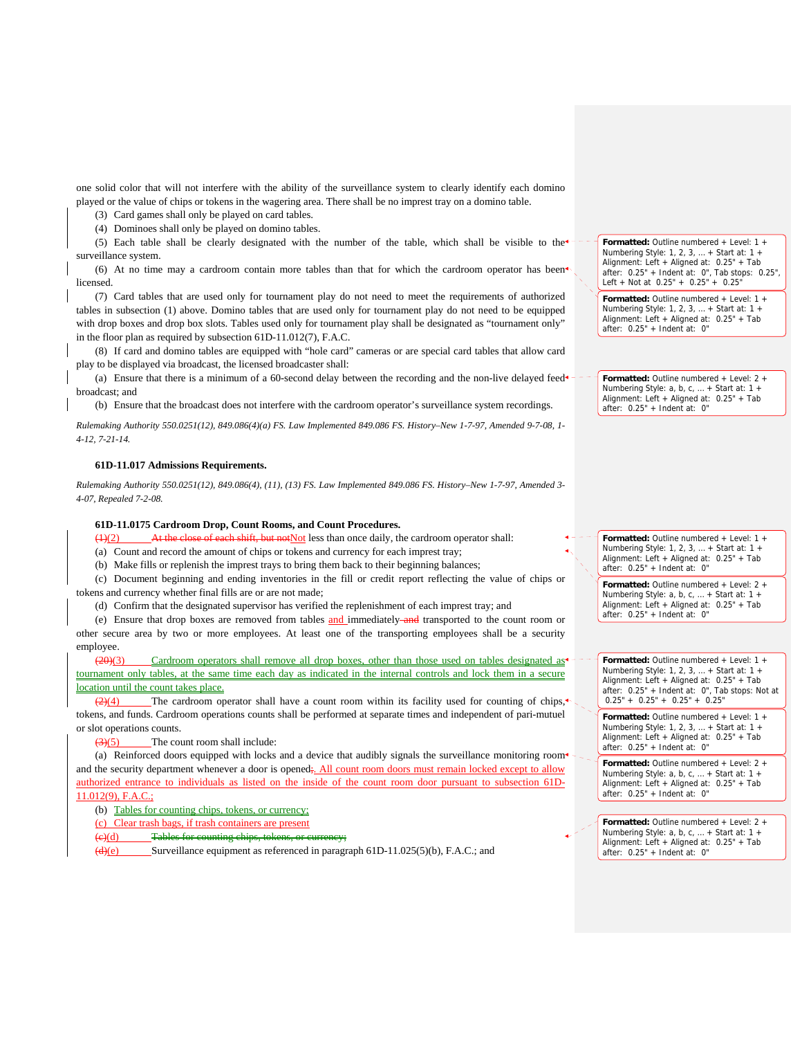one solid color that will not interfere with the ability of the surveillance system to clearly identify each domino played or the value of chips or tokens in the wagering area. There shall be no imprest tray on a domino table.

(3) Card games shall only be played on card tables.

(4) Dominoes shall only be played on domino tables.

(5) Each table shall be clearly designated with the number of the table, which shall be visible to the surveillance system.

(6) At no time may a cardroom contain more tables than that for which the cardroom operator has been licensed.

(7) Card tables that are used only for tournament play do not need to meet the requirements of authorized tables in subsection (1) above. Domino tables that are used only for tournament play do not need to be equipped with drop boxes and drop box slots. Tables used only for tournament play shall be designated as "tournament only" in the floor plan as required by subsection 61D-11.012(7), F.A.C.

(8) If card and domino tables are equipped with "hole card" cameras or are special card tables that allow card play to be displayed via broadcast, the licensed broadcaster shall:

(a) Ensure that there is a minimum of a 60-second delay between the recording and the non-live delayed feed broadcast; and

(b) Ensure that the broadcast does not interfere with the cardroom operator's surveillance system recordings.

*Rulemaking Authority 550.0251(12), 849.086(4)(a) FS. Law Implemented 849.086 FS. History–New 1-7-97, Amended 9-7-08, 1- 4-12, 7-21-14.*

#### **61D-11.017 Admissions Requirements.**

*Rulemaking Authority 550.0251(12), 849.086(4), (11), (13) FS. Law Implemented 849.086 FS. History–New 1-7-97, Amended 3- 4-07, Repealed 7-2-08.* 

#### **61D-11.0175 Cardroom Drop, Count Rooms, and Count Procedures.**

se of each shift, but not Not less than once daily, the cardroom operator shall: (a) Count and record the amount of chips or tokens and currency for each imprest tray;

(b) Make fills or replenish the imprest trays to bring them back to their beginning balances;

(c) Document beginning and ending inventories in the fill or credit report reflecting the value of chips or tokens and currency whether final fills are or are not made;

(d) Confirm that the designated supervisor has verified the replenishment of each imprest tray; and

(e) Ensure that drop boxes are removed from tables and immediately and transported to the count room or other secure area by two or more employees. At least one of the transporting employees shall be a security employee.

(20)(3) Cardroom operators shall remove all drop boxes, other than those used on tables designated as tournament only tables, at the same time each day as indicated in the internal controls and lock them in a secure location until the count takes place.

 $\frac{2(4)}{2(4)}$  The cardroom operator shall have a count room within its facility used for counting of chips, tokens, and funds. Cardroom operations counts shall be performed at separate times and independent of pari-mutuel or slot operations counts.

 $(3)(5)$  The count room shall include:

(a) Reinforced doors equipped with locks and a device that audibly signals the surveillance monitoring room<sup>4</sup> and the security department whenever a door is opened;. All count room doors must remain locked except to allow authorized entrance to individuals as listed on the inside of the count room door pursuant to subsection 61D-11.012(9), F.A.C.;

(b) Tables for counting chips, tokens, or currency;

(c) Clear trash bags, if trash containers are present

 $(e)(d)$  Tables for counting chips, tokens,  $\alpha$ 

 $\overline{(d)(e)}$  Surveillance equipment as referenced in paragraph 61D-11.025(5)(b), F.A.C.; and

**Formatted:** Outline numbered + Level: 1 + Numbering Style: 1, 2, 3, … + Start at: 1 + Alignment: Left + Aligned at: 0.25" + Tab after: 0.25" + Indent at: 0", Tab stops: 0.25", Left + Not at 0.25" + 0.25" + 0.25"

**Formatted:** Outline numbered + Level: 1 + Numbering Style: 1, 2, 3, … + Start at: 1 + Alignment: Left + Aligned at: 0.25" + Tab after: 0.25" + Indent at: 0"

**Formatted:** Outline numbered + Level: 2 + Numbering Style: a, b, c, … + Start at: 1 + Alignment: Left + Aligned at: 0.25" + Tab after: 0.25" + Indent at: 0"

**Formatted:** Outline numbered + Level: 1 + Numbering Style: 1, 2, 3, … + Start at: 1 + Alignment: Left + Aligned at: 0.25" + Tab after: 0.25" + Indent at: 0"

**Formatted:** Outline numbered + Level: 2 + Numbering Style: a, b, c, ... + Start at: 1 Alignment: Left + Aligned at: 0.25" + Tab after: 0.25" + Indent at: 0"

**Formatted:** Outline numbered + Level: 1 + Numbering Style: 1, 2, 3, … + Start at: 1 + Alignment: Left + Aligned at: 0.25" + Tab after: 0.25" + Indent at: 0", Tab stops: Not at  $0.25" + 0.25" + 0.25" + 0.25"$ 

**Formatted:** Outline numbered + Level: 1 + Numbering Style: 1, 2, 3, … + Start at: 1 + Alignment: Left + Aligned at: 0.25" + Tab after: 0.25" + Indent at: 0"

**Formatted:** Outline numbered + Level: 2 + Numbering Style: a, b, c, … + Start at: 1 + Alignment: Left + Aligned at: 0.25" + Tab after: 0.25" + Indent at: 0"

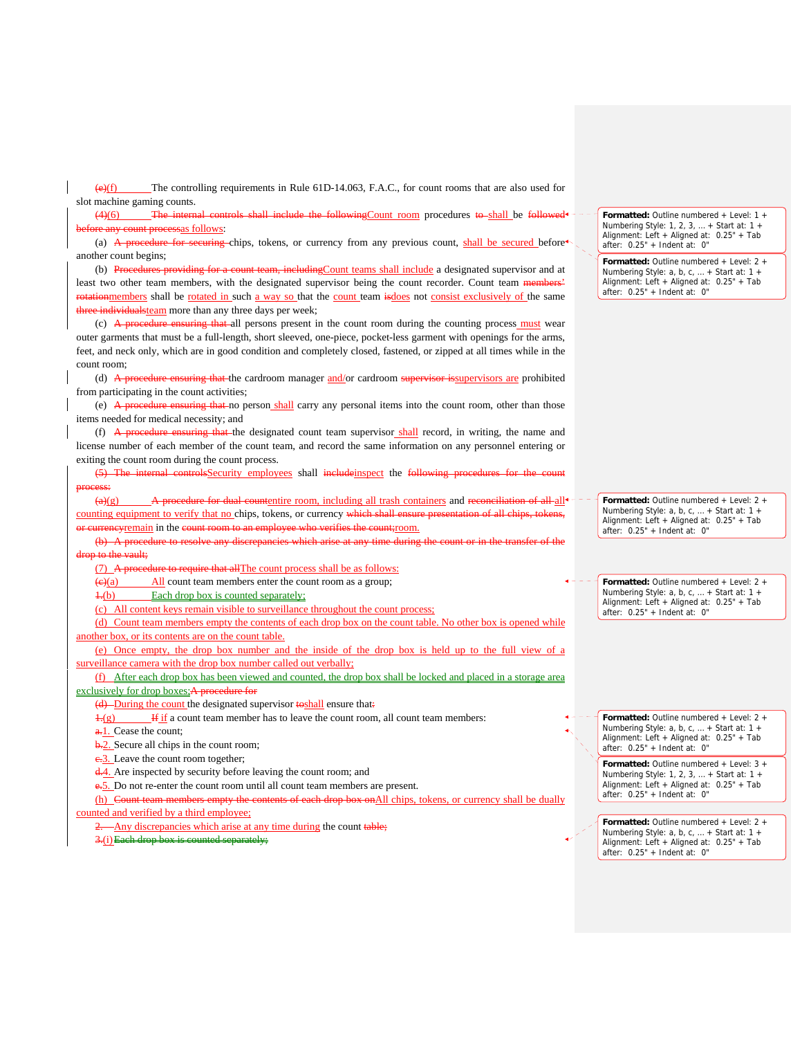(e)(f) The controlling requirements in Rule 61D-14.063, F.A.C., for count rooms that are also used for slot machine gaming counts.

 $(4)(6)$  The internal controls shall include the following Count room procedures to shall be followed<sup>+-</sup> **processas** follows:

(a) A procedure for securing chips, tokens, or currency from any previous count, shall be secured before another count begins;

(b) Procedures providing for a count team, including Count teams shall include a designated supervisor and at least two other team members, with the designated supervisor being the count recorder. Count team members' rotationmembers shall be rotated in such a way so that the count team isdoes not consist exclusively of the same three individualsteam more than any three days per week;

(c)  $\overrightarrow{A}$  proceedure ensuring that all persons present in the count room during the counting process must wear outer garments that must be a full-length, short sleeved, one-piece, pocket-less garment with openings for the arms, feet, and neck only, which are in good condition and completely closed, fastened, or zipped at all times while in the count room;

(d) A procedure ensuring that the cardroom manager and/or cardroom supervisor issupervisors are prohibited from participating in the count activities;

(e) A procedure ensuring that no person shall carry any personal items into the count room, other than those items needed for medical necessity; and

(f)  $\overrightarrow{A}$  procedure ensuring that the designated count team supervisor shall record, in writing, the name and license number of each member of the count team, and record the same information on any personnel entering or exiting the count room during the count process.

(5) The internal controlsSecurity employees shall includeinspect the following procedures for the count process:

 $(a)(g)$  A procedure for dual countentire room, including all trash containers and reconciliation of all all<sup>4</sup> counting equipment to verify that no chips, tokens, or currency which shall ensure presentation of all chips, tokens ourrencyremain in the count room to an employee who verifies the count; room.

(b) A procedure to resolve any discrepancies which arise at any time during the count or in the transfer of the drop to the vault;

(7) A procedure to require that allThe count process shall be as follows:

 $\frac{f(x)}{g(x)}$  All count team members enter the count room as a group;

1.(b) Each drop box is counted separately;

(c) All content keys remain visible to surveillance throughout the count process;

(d) Count team members empty the contents of each drop box on the count table. No other box is opened while another box, or its contents are on the count table.

(e) Once empty, the drop box number and the inside of the drop box is held up to the full view of a surveillance camera with the drop box number called out verbally;

(f) After each drop box has been viewed and counted, the drop box shall be locked and placed in a storage area  $exclusively for drop boxes; A pre$ 

(d) During the count the designated supervisor toshall ensure that:

 $\frac{1}{2}$  If if a count team member has to leave the count room, all count team members:

a.<sup>1</sup>. Cease the count;

b.2. Secure all chips in the count room;

e.3. Leave the count room together:

d.4. Are inspected by security before leaving the count room; and

e.5. Do not re-enter the count room until all count team members are present.

(h) Count team members empty the contents of each drop box onAll chips, tokens, or currency shall be dually

counted and verified by a third employee;

-Any discrepancies which arise at any time during the count table;

3.(i)Each drop box is counted separately;

**Formatted:** Outline numbered + Level: 1 + Numbering Style: 1, 2, 3, … + Start at: 1 + Alignment: Left + Aligned at: 0.25" + Tab after: 0.25" + Indent at: 0"

**Formatted:** Outline numbered + Level: 2 + Numbering Style: a, b, c, … + Start at: 1 + Alignment: Left + Aligned at: 0.25" + Tab after: 0.25" + Indent at: 0"

**Formatted:** Outline numbered + Level: 2 + Numbering Style: a, b, c, … + Start at: 1 + Alignment: Left + Aligned at: 0.25" + Tab after: 0.25" + Indent at: 0"

**Formatted:** Outline numbered + Level: 2 + Numbering Style: a, b, c, … + Start at: 1 + Alignment: Left + Aligned at: 0.25" + Tab after: 0.25" + Indent at: 0"

**Formatted:** Outline numbered + Level: 2 + Numbering Style: a, b, c, … + Start at: 1 + Alignment: Left + Aligned at: 0.25" + Tab after: 0.25" + Indent at: 0"

**Formatted:** Outline numbered + Level: 3 + Numbering Style: 1, 2, 3, … + Start at: 1 + Alignment: Left + Aligned at: 0.25" + Tab after:  $0.25"$  + Indent at: 0"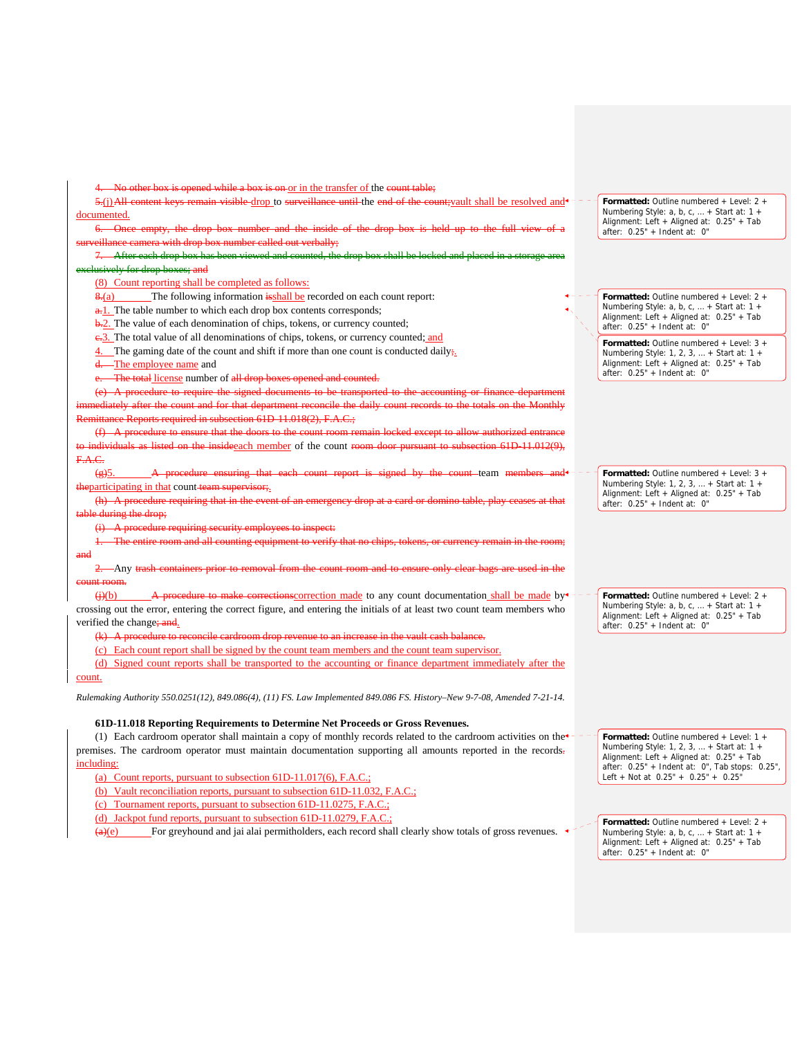opened while a box is on or in the transfer of the count table; 5.(j)All content keys remain visible drop to surveillance until the end of the count; vault shall be resolved and  $\pm$ documented. Cance empty, the drop box number and the inside of the drop box  $s$ illance camera with drop box number called out verbally; After each drop box has been viewed and counted, the drop box shall be locked and placed in a storage area **Example 3 Husively for drop boxes; and** (8) Count reporting shall be completed as follows: 8.(a) The following information is shall be recorded on each count report: a.<sup>1</sup>. The table number to which each drop box contents corresponds; **b.2.** The value of each denomination of chips, tokens, or currency counted; e.<sup>3</sup>. The total value of all denominations of chips, tokens, or currency counted; and The gaming date of the count and shift if more than one count is conducted daily; -The employee name and The total license number of all drop (e) A procedure to require the signed documents to be transported to the accounting or finance department immediately after the count and for that department reconcile the daily count records to the totals on the Monthly Remittance Reports required in subsection 61D-11.018(2), F.A.C.; ) a procedure that the doors on the insideeach member of the count room door pursuant to subsection 61D-11.012(9) F.A.C.  $\left(\frac{e}{2}\right)$ . A procedure ensuring that each count report is signed by the count team members the participating in that count team supervisor;.  $(h)$  A procedure re during the drop; A procedure requiring security employees to insp entire room and all counting equipment to and 2. Any trash containers prior to removal from the count room and to ensure only clear bags are used in the count room.  $(i)(b)$  A procedure to make corrections correction made to any count documentation shall be made by<sup>\*</sup> crossing out the error, entering the correct figure, and entering the initials of at least two count team members who verified the change; and. (k) A procedure to reconcile cardroom drop revenue to an increase in the vault cash balan (c) Each count report shall be signed by the count team members and the count team supervisor. **Formatted:** Outline numbered + Level: 2 + **Formatted:** Outline numbered + Level: 2 + Numbering Style: a, b, c, … + Start at: 1 + Alignment: Left + Aligned at: 0.25" + Tab after: 0.25" + Indent at: 0" **Formatted:** Outline numbered + Level: 2 + Numbering Style: a, b, c, … + Start at: 1 + Alignment: Left + Aligned at: 0.25" + Tab after: 0.25" + Indent at: 0"

(d) Signed count reports shall be transported to the accounting or finance department immediately after the

## count.

*Rulemaking Authority 550.0251(12), 849.086(4), (11) FS. Law Implemented 849.086 FS. History–New 9-7-08, Amended 7-21-14.*

## **61D-11.018 Reporting Requirements to Determine Net Proceeds or Gross Revenues.**

(1) Each cardroom operator shall maintain a copy of monthly records related to the cardroom activities on the premises. The cardroom operator must maintain documentation supporting all amounts reported in the records. including:

(a) Count reports, pursuant to subsection 61D-11.017(6), F.A.C.;

- (b) Vault reconciliation reports, pursuant to subsection 61D-11.032, F.A.C.;
- (c) Tournament reports, pursuant to subsection 61D-11.0275, F.A.C.;

(d) Jackpot fund reports, pursuant to subsection 61D-11.0279, F.A.C.;

 $\frac{(a)(e)}{e}$  For greyhound and jai alai permitholders, each record shall clearly show totals of gross revenues.

**Formatted:** Outline numbered + Level: 1 + Numbering Style: 1, 2, 3, … + Start at: 1 + Alignment: Left + Aligned at: 0.25" + Tab after: 0.25" + Indent at: 0", Tab stops: 0.25", Left + Not at 0.25" + 0.25" + 0.25"

after: 0.25" + Indent at: 0" **Formatted:** Outline numbered + Level: 3 + Numbering Style: 1, 2, 3, … + Start at: 1 + Alignment: Left + Aligned at: 0.25" + Tab

**Formatted:** Outline numbered + Level: 3 + Numbering Style: 1, 2, 3, … + Start at: 1 + Alignment: Left + Aligned at: 0.25" + Tab after:  $0.25" +$  Indent at: 0"

Numbering Style: a, b, c, … + Start at: 1 + Alignment: Left + Aligned at: 0.25" + Tab after: 0.25" + Indent at: 0"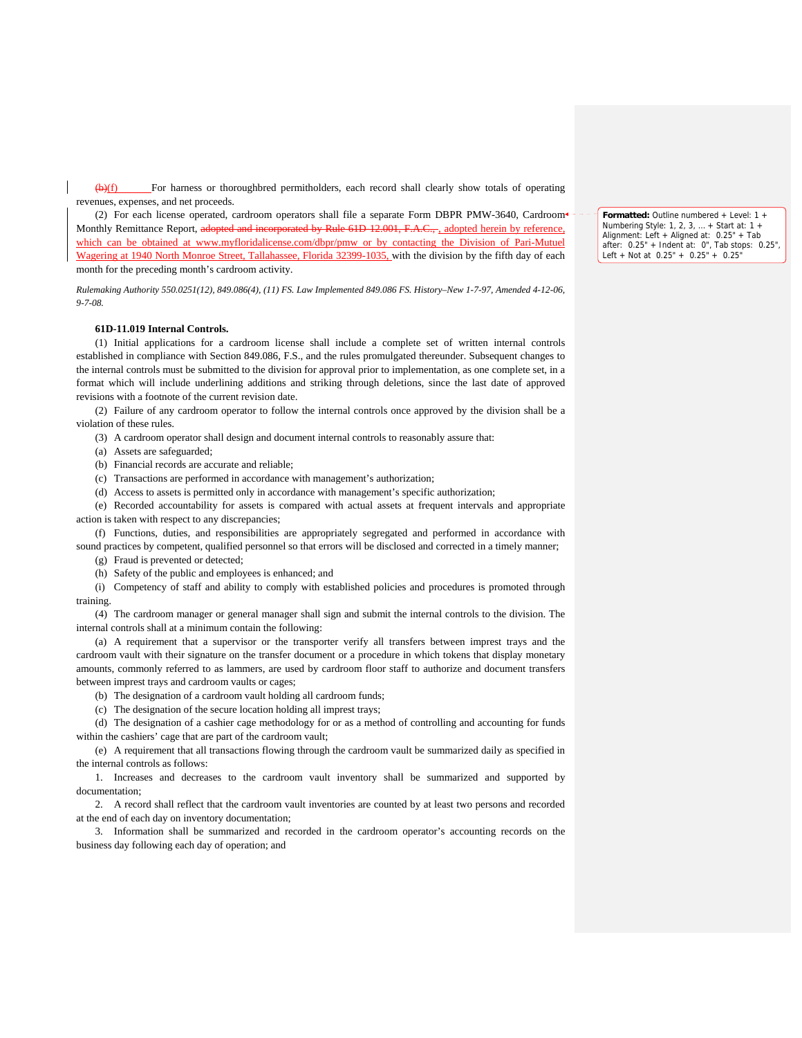(b)(f) For harness or thoroughbred permitholders, each record shall clearly show totals of operating revenues, expenses, and net proceeds.

(2) For each license operated, cardroom operators shall file a separate Form DBPR PMW-3640, Cardroom Monthly Remittance Report, adopted and incorporated by Rule 61D-12.001, F.A.C., adopted herein by reference, which can be obtained at www.myfloridalicense.com/dbpr/pmw or by contacting the Division of Pari-Mutuel Wagering at 1940 North Monroe Street, Tallahassee, Florida 32399-1035, with the division by the fifth day of each month for the preceding month's cardroom activity.

*Rulemaking Authority 550.0251(12), 849.086(4), (11) FS. Law Implemented 849.086 FS. History–New 1-7-97, Amended 4-12-06, 9-7-08.*

#### **61D-11.019 Internal Controls.**

(1) Initial applications for a cardroom license shall include a complete set of written internal controls established in compliance with Section 849.086, F.S., and the rules promulgated thereunder. Subsequent changes to the internal controls must be submitted to the division for approval prior to implementation, as one complete set, in a format which will include underlining additions and striking through deletions, since the last date of approved revisions with a footnote of the current revision date.

(2) Failure of any cardroom operator to follow the internal controls once approved by the division shall be a violation of these rules.

(3) A cardroom operator shall design and document internal controls to reasonably assure that:

(a) Assets are safeguarded;

(b) Financial records are accurate and reliable;

(c) Transactions are performed in accordance with management's authorization;

(d) Access to assets is permitted only in accordance with management's specific authorization;

(e) Recorded accountability for assets is compared with actual assets at frequent intervals and appropriate action is taken with respect to any discrepancies;

(f) Functions, duties, and responsibilities are appropriately segregated and performed in accordance with sound practices by competent, qualified personnel so that errors will be disclosed and corrected in a timely manner;

(g) Fraud is prevented or detected;

(h) Safety of the public and employees is enhanced; and

(i) Competency of staff and ability to comply with established policies and procedures is promoted through training.

(4) The cardroom manager or general manager shall sign and submit the internal controls to the division. The internal controls shall at a minimum contain the following:

(a) A requirement that a supervisor or the transporter verify all transfers between imprest trays and the cardroom vault with their signature on the transfer document or a procedure in which tokens that display monetary amounts, commonly referred to as lammers, are used by cardroom floor staff to authorize and document transfers between imprest trays and cardroom vaults or cages;

(b) The designation of a cardroom vault holding all cardroom funds;

(c) The designation of the secure location holding all imprest trays;

(d) The designation of a cashier cage methodology for or as a method of controlling and accounting for funds within the cashiers' cage that are part of the cardroom vault;

(e) A requirement that all transactions flowing through the cardroom vault be summarized daily as specified in the internal controls as follows:

1. Increases and decreases to the cardroom vault inventory shall be summarized and supported by documentation;

2. A record shall reflect that the cardroom vault inventories are counted by at least two persons and recorded at the end of each day on inventory documentation;

3. Information shall be summarized and recorded in the cardroom operator's accounting records on the business day following each day of operation; and

**Formatted:** Outline numbered + Level: 1 + Numbering Style: 1, 2, 3, … + Start at: 1 + Alignment: Left + Aligned at: 0.25" + Tab after: 0.25" + Indent at: 0", Tab stops: 0.25", Left + Not at 0.25" + 0.25" + 0.25"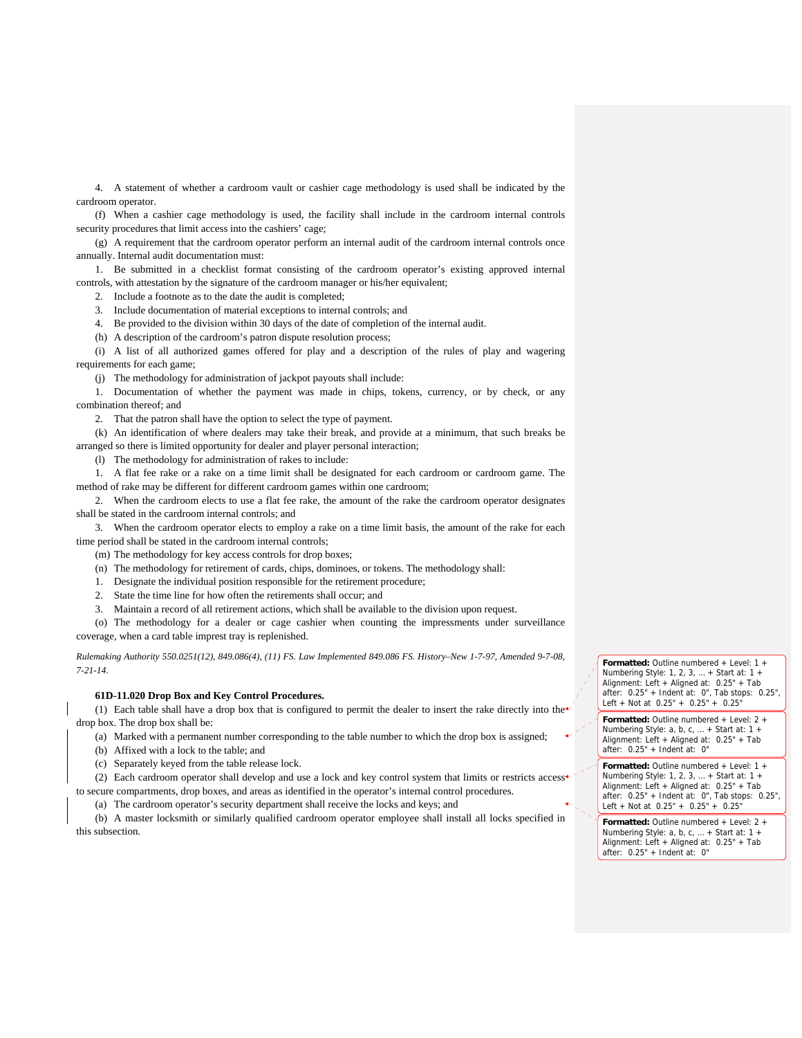4. A statement of whether a cardroom vault or cashier cage methodology is used shall be indicated by the cardroom operator.

(f) When a cashier cage methodology is used, the facility shall include in the cardroom internal controls security procedures that limit access into the cashiers' cage;

(g) A requirement that the cardroom operator perform an internal audit of the cardroom internal controls once annually. Internal audit documentation must:

1. Be submitted in a checklist format consisting of the cardroom operator's existing approved internal controls, with attestation by the signature of the cardroom manager or his/her equivalent;

2. Include a footnote as to the date the audit is completed;

3. Include documentation of material exceptions to internal controls; and

4. Be provided to the division within 30 days of the date of completion of the internal audit.

(h) A description of the cardroom's patron dispute resolution process;

(i) A list of all authorized games offered for play and a description of the rules of play and wagering requirements for each game;

(j) The methodology for administration of jackpot payouts shall include:

1. Documentation of whether the payment was made in chips, tokens, currency, or by check, or any combination thereof; and

2. That the patron shall have the option to select the type of payment.

(k) An identification of where dealers may take their break, and provide at a minimum, that such breaks be arranged so there is limited opportunity for dealer and player personal interaction;

(l) The methodology for administration of rakes to include:

1. A flat fee rake or a rake on a time limit shall be designated for each cardroom or cardroom game. The method of rake may be different for different cardroom games within one cardroom;

2. When the cardroom elects to use a flat fee rake, the amount of the rake the cardroom operator designates shall be stated in the cardroom internal controls; and

3. When the cardroom operator elects to employ a rake on a time limit basis, the amount of the rake for each time period shall be stated in the cardroom internal controls;

(m) The methodology for key access controls for drop boxes;

(n) The methodology for retirement of cards, chips, dominoes, or tokens. The methodology shall:

- 1. Designate the individual position responsible for the retirement procedure;
- 2. State the time line for how often the retirements shall occur; and
- 3. Maintain a record of all retirement actions, which shall be available to the division upon request.

(o) The methodology for a dealer or cage cashier when counting the impressments under surveillance coverage, when a card table imprest tray is replenished.

*Rulemaking Authority 550.0251(12), 849.086(4), (11) FS. Law Implemented 849.086 FS. History–New 1-7-97, Amended 9-7-08, 7-21-14.*

## **61D-11.020 Drop Box and Key Control Procedures.**

(1) Each table shall have a drop box that is configured to permit the dealer to insert the rake directly into the drop box. The drop box shall be:

(a) Marked with a permanent number corresponding to the table number to which the drop box is assigned;

(b) Affixed with a lock to the table; and

(c) Separately keyed from the table release lock.

(2) Each cardroom operator shall develop and use a lock and key control system that limits or restricts access to secure compartments, drop boxes, and areas as identified in the operator's internal control procedures.

(a) The cardroom operator's security department shall receive the locks and keys; and

(b) A master locksmith or similarly qualified cardroom operator employee shall install all locks specified in this subsection.

**Formatted:** Outline numbered + Level: 1 + Numbering Style: 1, 2, 3, … + Start at: 1 + Alignment: Left + Aligned at: 0.25" + Tab after: 0.25" + Indent at: 0", Tab stops: 0.25", Left + Not at 0.25" + 0.25" + 0.25"

**Formatted:** Outline numbered + Level: 2 + Numbering Style: a, b, c, ... + Start at: 1 + Alignment: Left + Aligned at: 0.25" + Tab after: 0.25" + Indent at: 0"

**Formatted:** Outline numbered + Level: 1 + Numbering Style: 1, 2, 3, … + Start at: 1 + Alignment: Left + Aligned at: 0.25" + Tab after: 0.25" + Indent at: 0", Tab stops: 0.25", Left + Not at  $0.25" + 0.25" + 0.25"$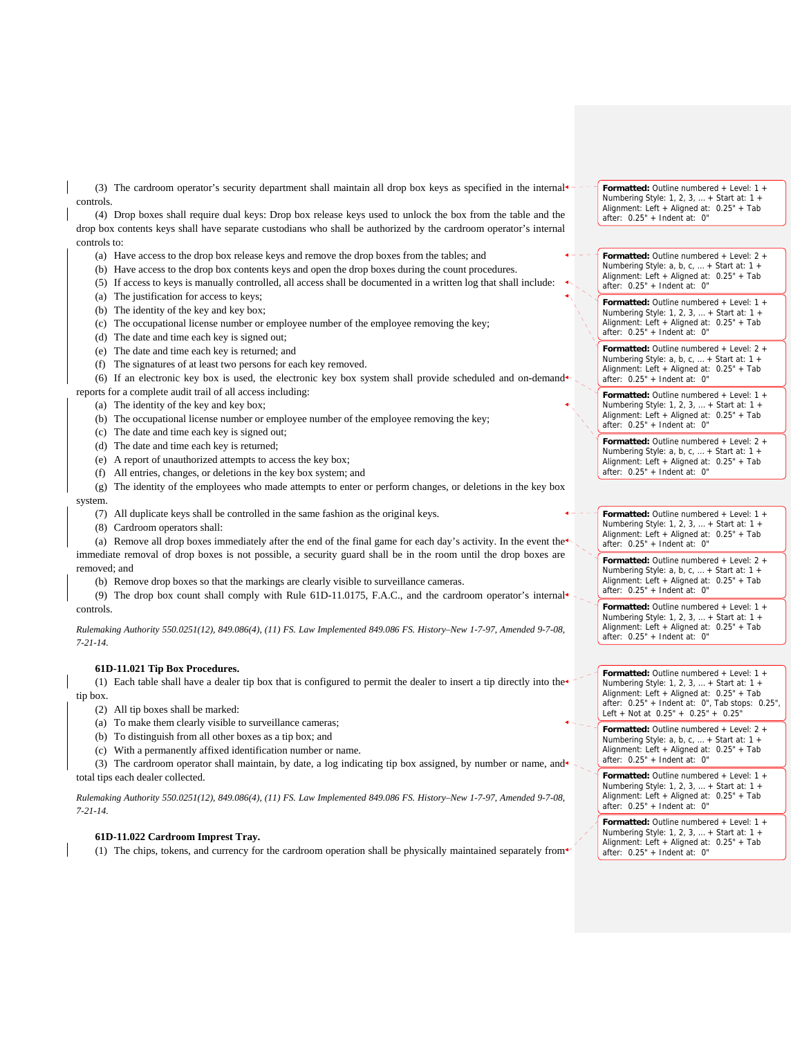(3) The cardroom operator's security department shall maintain all drop box keys as specified in the internal controls.

(4) Drop boxes shall require dual keys: Drop box release keys used to unlock the box from the table and the drop box contents keys shall have separate custodians who shall be authorized by the cardroom operator's internal controls to:

- (a) Have access to the drop box release keys and remove the drop boxes from the tables; and
- (b) Have access to the drop box contents keys and open the drop boxes during the count procedures.
- (5) If access to keys is manually controlled, all access shall be documented in a written log that shall include:
- (a) The justification for access to keys;
- (b) The identity of the key and key box;
- (c) The occupational license number or employee number of the employee removing the key;
- (d) The date and time each key is signed out;
- (e) The date and time each key is returned; and
- (f) The signatures of at least two persons for each key removed.

(6) If an electronic key box is used, the electronic key box system shall provide scheduled and on-demand

reports for a complete audit trail of all access including:

- (a) The identity of the key and key box;
- (b) The occupational license number or employee number of the employee removing the key;
- (c) The date and time each key is signed out;
- (d) The date and time each key is returned;
- (e) A report of unauthorized attempts to access the key box;
- (f) All entries, changes, or deletions in the key box system; and
- (g) The identity of the employees who made attempts to enter or perform changes, or deletions in the key box system.
	- (7) All duplicate keys shall be controlled in the same fashion as the original keys.
	- (8) Cardroom operators shall:

(a) Remove all drop boxes immediately after the end of the final game for each day's activity. In the event the immediate removal of drop boxes is not possible, a security guard shall be in the room until the drop boxes are removed; and

(b) Remove drop boxes so that the markings are clearly visible to surveillance cameras.

(9) The drop box count shall comply with Rule 61D-11.0175, F.A.C., and the cardroom operator's internal controls.

*Rulemaking Authority 550.0251(12), 849.086(4), (11) FS. Law Implemented 849.086 FS. History–New 1-7-97, Amended 9-7-08, 7-21-14.* 

## **61D-11.021 Tip Box Procedures.**

(1) Each table shall have a dealer tip box that is configured to permit the dealer to insert a tip directly into the tip box.

(2) All tip boxes shall be marked:

- (a) To make them clearly visible to surveillance cameras;
- (b) To distinguish from all other boxes as a tip box; and
- (c) With a permanently affixed identification number or name.

(3) The cardroom operator shall maintain, by date, a log indicating tip box assigned, by number or name, and total tips each dealer collected.

*Rulemaking Authority 550.0251(12), 849.086(4), (11) FS. Law Implemented 849.086 FS. History–New 1-7-97, Amended 9-7-08, 7-21-14.*

# **61D-11.022 Cardroom Imprest Tray.**

(1) The chips, tokens, and currency for the cardroom operation shall be physically maintained separately from

**Formatted:** Outline numbered + Level: 1 + Numbering Style: 1, 2, 3, … + Start at: 1 + Alignment: Left + Aligned at: 0.25" + Tab after: 0.25" + Indent at: 0"

**Formatted:** Outline numbered + Level: 2 + Numbering Style: a, b, c, … + Start at: 1 + Alignment: Left + Aligned at: 0.25" + Tab after: 0.25" + Indent at: 0"

**Formatted:** Outline numbered + Level: 1 + Numbering Style: 1, 2, 3, … + Start at: 1 + Alignment: Left + Aligned at: 0.25" + Tab after:  $0.25" + Indent at: 0"$ 

**Formatted:** Outline numbered + Level: 2 + Numbering Style: a, b, c, ... + Start at: 1 -Alignment: Left + Aligned at: 0.25" + Tab after: 0.25" + Indent at: 0"

**Formatted:** Outline numbered + Level: 1 + Numbering Style: 1, 2, 3, … + Start at: 1 + Alignment: Left + Aligned at: 0.25" + Tab after: 0.25" + Indent at: 0"

**Formatted:** Outline numbered + Level: 2 + Numbering Style: a, b, c, … + Start at: 1 + Alignment: Left + Aligned at: 0.25" + Tab after: 0.25" + Indent at: 0"

**Formatted:** Outline numbered + Level: 1 + Numbering Style: 1, 2, 3, … + Start at: 1 + Alignment: Left + Aligned at: 0.25" + Tab after: 0.25" + Indent at: 0"

**Formatted:** Outline numbered + Level: 2 + Numbering Style: a, b, c, … + Start at: 1 + Alignment: Left + Aligned at: 0.25" + Tab after: 0.25" + Indent at: 0"

**Formatted:** Outline numbered + Level: 1 + Numbering Style: 1, 2, 3, … + Start at: 1 + Alignment: Left + Aligned at: 0.25" + Tab after: 0.25" + Indent at: 0"

**Formatted:** Outline numbered + Level: 1 + Numbering Style: 1, 2, 3, … + Start at: 1 + Alignment: Left + Aligned at: 0.25" + Tab after: 0.25" + Indent at: 0", Tab stops: 0.25", Left + Not at 0.25" + 0.25" + 0.25"

**Formatted:** Outline numbered + Level: 2 + Numbering Style: a, b, c, ... + Start at: 1 + Alignment: Left + Aligned at: 0.25" + Tab after: 0.25" + Indent at: 0"

**Formatted:** Outline numbered + Level: 1 + Numbering Style: 1, 2, 3, … + Start at: 1 + Alignment: Left + Aligned at: 0.25" + Tab after: 0.25" + Indent at: 0"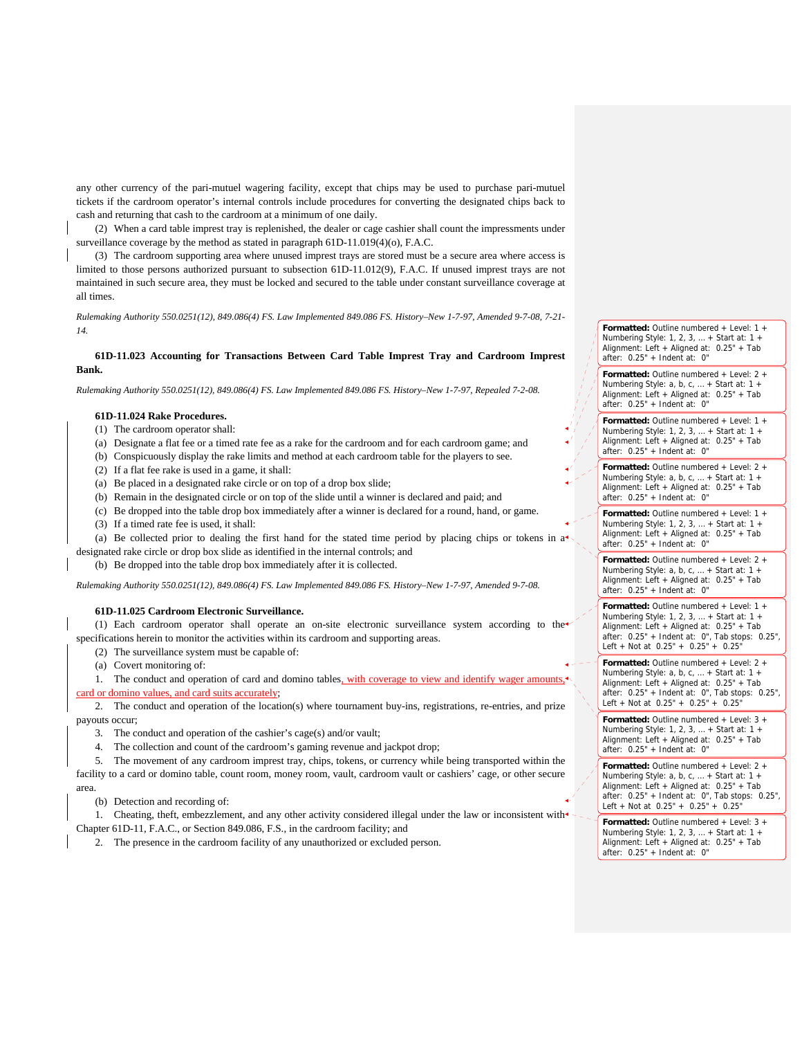any other currency of the pari-mutuel wagering facility, except that chips may be used to purchase pari-mutuel tickets if the cardroom operator's internal controls include procedures for converting the designated chips back to cash and returning that cash to the cardroom at a minimum of one daily.

(2) When a card table imprest tray is replenished, the dealer or cage cashier shall count the impressments under surveillance coverage by the method as stated in paragraph 61D-11.019(4)(o), F.A.C.

(3) The cardroom supporting area where unused imprest trays are stored must be a secure area where access is limited to those persons authorized pursuant to subsection 61D-11.012(9), F.A.C. If unused imprest trays are not maintained in such secure area, they must be locked and secured to the table under constant surveillance coverage at all times.

*Rulemaking Authority 550.0251(12), 849.086(4) FS. Law Implemented 849.086 FS. History–New 1-7-97, Amended 9-7-08, 7-21- 14.*

## **61D-11.023 Accounting for Transactions Between Card Table Imprest Tray and Cardroom Imprest Bank.**

*Rulemaking Authority 550.0251(12), 849.086(4) FS. Law Implemented 849.086 FS. History–New 1-7-97, Repealed 7-2-08.* 

## **61D-11.024 Rake Procedures.**

- (1) The cardroom operator shall:
- (a) Designate a flat fee or a timed rate fee as a rake for the cardroom and for each cardroom game; and
- (b) Conspicuously display the rake limits and method at each cardroom table for the players to see.
- (2) If a flat fee rake is used in a game, it shall:
- (a) Be placed in a designated rake circle or on top of a drop box slide;
- (b) Remain in the designated circle or on top of the slide until a winner is declared and paid; and
- (c) Be dropped into the table drop box immediately after a winner is declared for a round, hand, or game.
- (3) If a timed rate fee is used, it shall:

(a) Be collected prior to dealing the first hand for the stated time period by placing chips or tokens in a designated rake circle or drop box slide as identified in the internal controls; and

(b) Be dropped into the table drop box immediately after it is collected.

*Rulemaking Authority 550.0251(12), 849.086(4) FS. Law Implemented 849.086 FS. History–New 1-7-97, Amended 9-7-08.*

### **61D-11.025 Cardroom Electronic Surveillance.**

(1) Each cardroom operator shall operate an on-site electronic surveillance system according to the specifications herein to monitor the activities within its cardroom and supporting areas.

(2) The surveillance system must be capable of:

(a) Covert monitoring of:

1. The conduct and operation of card and domino tables, with coverage to view and identify wager amoun card or domino values, and card suits accurately;

2. The conduct and operation of the location(s) where tournament buy-ins, registrations, re-entries, and prize payouts occur;

- 3. The conduct and operation of the cashier's cage(s) and/or vault;
- 4. The collection and count of the cardroom's gaming revenue and jackpot drop;

5. The movement of any cardroom imprest tray, chips, tokens, or currency while being transported within the facility to a card or domino table, count room, money room, vault, cardroom vault or cashiers' cage, or other secure area.

(b) Detection and recording of:

1. Cheating, theft, embezzlement, and any other activity considered illegal under the law or inconsistent with Chapter 61D-11, F.A.C., or Section 849.086, F.S., in the cardroom facility; and

2. The presence in the cardroom facility of any unauthorized or excluded person.

**Formatted:** Outline numbered + Level: 1 + Numbering Style: 1, 2, 3, … + Start at: 1 + Alignment: Left + Aligned at: 0.25" + Tab  $after: 0.25" + Indent at: 0"$ 

**Formatted:** Outline numbered + Level: 2 + Numbering Style: a, b, c, … + Start at: 1 + Alignment: Left + Aligned at: 0.25" + Tab after: 0.25" + Indent at: 0"

**Formatted:** Outline numbered + Level: 1 + Numbering Style: 1, 2, 3, … + Start at: 1 + Alignment: Left + Aligned at: 0.25" + Tab after: 0.25" + Indent at: 0"

**Formatted:** Outline numbered + Level: 2 + Numbering Style: a, b, c, … + Start at: 1 + Alignment: Left + Aligned at: 0.25" + Tab after: 0.25" + Indent at: 0"

**Formatted:** Outline numbered + Level: 1 + Numbering Style: 1, 2, 3, … + Start at: 1 + Alignment: Left + Aligned at: 0.25" + Tab after:  $0.25" +$  Indent at: 0"

**Formatted:** Outline numbered + Level: 2 + Numbering Style: a, b, c, … + Start at: 1 + Alignment: Left + Aligned at: 0.25" + Tab after: 0.25" + Indent at: 0"

**Formatted:** Outline numbered + Level: 1 + Numbering Style: 1, 2, 3, … + Start at: 1 + Alignment: Left + Aligned at: 0.25" + Tab after: 0.25" + Indent at: 0", Tab stops: 0.25", Left + Not at  $0.25" + 0.25" + 0.25"$ 

**Formatted:** Outline numbered + Level: 2 + Numbering Style: a, b, c, … + Start at: 1 + Alignment: Left + Aligned at: 0.25" + Tab after: 0.25" + Indent at: 0", Tab stops: 0.25", Left + Not at 0.25" + 0.25" + 0.25"

**Formatted:** Outline numbered + Level: 3 + Numbering Style: 1, 2, 3, … + Start at: 1 + Alignment: Left + Aligned at: 0.25" + Tab after: 0.25" + Indent at: 0"

**Formatted:** Outline numbered + Level: 2 + Numbering Style: a, b, c, … + Start at: 1 + Alignment: Left + Aligned at: 0.25" + Tab after: 0.25" + Indent at: 0", Tab stops: 0.25", Left + Not at  $0.25" + 0.25" + 0.25"$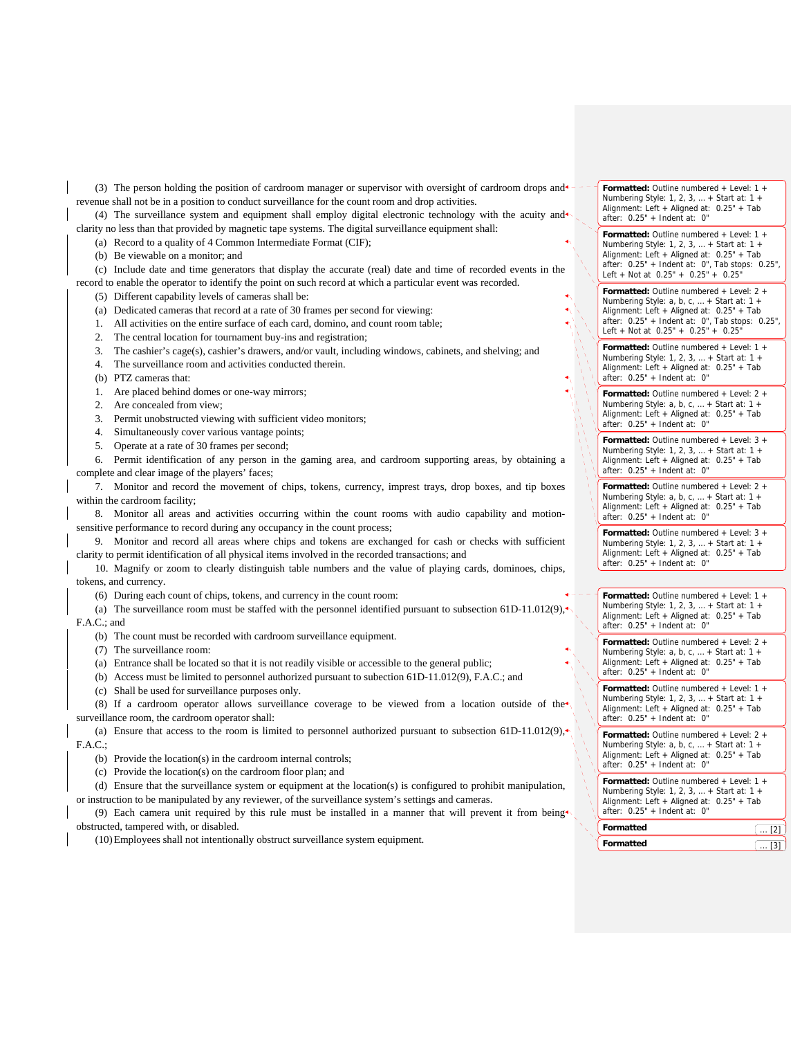(3) The person holding the position of cardroom manager or supervisor with oversight of cardroom drops and  $\bullet$ revenue shall not be in a position to conduct surveillance for the count room and drop activities.

(4) The surveillance system and equipment shall employ digital electronic technology with the acuity and clarity no less than that provided by magnetic tape systems. The digital surveillance equipment shall:

(a) Record to a quality of 4 Common Intermediate Format (CIF);

(b) Be viewable on a monitor; and

(c) Include date and time generators that display the accurate (real) date and time of recorded events in the record to enable the operator to identify the point on such record at which a particular event was recorded.

(5) Different capability levels of cameras shall be:

(a) Dedicated cameras that record at a rate of 30 frames per second for viewing:

1. All activities on the entire surface of each card, domino, and count room table;

2. The central location for tournament buy-ins and registration;

3. The cashier's cage(s), cashier's drawers, and/or vault, including windows, cabinets, and shelving; and

4. The surveillance room and activities conducted therein.

(b) PTZ cameras that:

1. Are placed behind domes or one-way mirrors;

2. Are concealed from view;

3. Permit unobstructed viewing with sufficient video monitors;

4. Simultaneously cover various vantage points;

5. Operate at a rate of 30 frames per second;

6. Permit identification of any person in the gaming area, and cardroom supporting areas, by obtaining a complete and clear image of the players' faces;

7. Monitor and record the movement of chips, tokens, currency, imprest trays, drop boxes, and tip boxes within the cardroom facility;

8. Monitor all areas and activities occurring within the count rooms with audio capability and motionsensitive performance to record during any occupancy in the count process;

9. Monitor and record all areas where chips and tokens are exchanged for cash or checks with sufficient clarity to permit identification of all physical items involved in the recorded transactions; and

10. Magnify or zoom to clearly distinguish table numbers and the value of playing cards, dominoes, chips, tokens, and currency.

(6) During each count of chips, tokens, and currency in the count room:

(a) The surveillance room must be staffed with the personnel identified pursuant to subsection 61D-11.012(9), F.A.C.; and

(b) The count must be recorded with cardroom surveillance equipment.

(7) The surveillance room:

(a) Entrance shall be located so that it is not readily visible or accessible to the general public;

(b) Access must be limited to personnel authorized pursuant to subection 61D-11.012(9), F.A.C.; and

(c) Shall be used for surveillance purposes only.

(8) If a cardroom operator allows surveillance coverage to be viewed from a location outside of the<sup>4</sup> surveillance room, the cardroom operator shall:

(a) Ensure that access to the room is limited to personnel authorized pursuant to subsection 61D-11.012(9), $\star$ F.A.C.;

(b) Provide the location(s) in the cardroom internal controls;

(c) Provide the location(s) on the cardroom floor plan; and

(d) Ensure that the surveillance system or equipment at the location(s) is configured to prohibit manipulation,

or instruction to be manipulated by any reviewer, of the surveillance system's settings and cameras.

(9) Each camera unit required by this rule must be installed in a manner that will prevent it from being obstructed, tampered with, or disabled.

(10)Employees shall not intentionally obstruct surveillance system equipment.

**Formatted:** Outline numbered + Level: 1 + Numbering Style: 1, 2, 3, … + Start at: 1 + Alignment: Left + Aligned at: 0.25" + Tab after: 0.25" + Indent at: 0"

**Formatted:** Outline numbered + Level: 1 + Numbering Style: 1, 2, 3, … + Start at: 1 + Alignment: Left + Aligned at: 0.25" + Tab after: 0.25" + Indent at: 0", Tab stops: 0.25", Left + Not at 0.25" + 0.25" + 0.25"

**Formatted:** Outline numbered + Level: 2 + Numbering Style: a, b, c, ... + Start at: 1 + Alignment: Left + Aligned at: 0.25" + Tab after: 0.25" + Indent at: 0", Tab stops: 0.25", Left + Not at 0.25" + 0.25" + 0.25"

**Formatted:** Outline numbered + Level: 1 + Numbering Style: 1, 2, 3, … + Start at: 1 + Alignment: Left + Aligned at: 0.25" + Tab after: 0.25" + Indent at: 0"

**Formatted:** Outline numbered + Level: 2 + Numbering Style: a, b, c, … + Start at: 1 + Alignment: Left + Aligned at: 0.25" + Tab after: 0.25" + Indent at: 0"

**Formatted:** Outline numbered + Level: 3 + Numbering Style: 1, 2, 3, … + Start at: 1 + Alignment: Left + Aligned at: 0.25" + Tab after: 0.25" + Indent at: 0"

**Formatted:** Outline numbered + Level: 2 + Numbering Style: a, b, c, … + Start at: 1 + Alignment: Left + Aligned at: 0.25" + Tab after: 0.25" + Indent at: 0"

**Formatted:** Outline numbered + Level: 3 + Numbering Style: 1, 2, 3, … + Start at: 1 + Alignment: Left + Aligned at: 0.25" + Tab after: 0.25" + Indent at: 0"

**Formatted:** Outline numbered + Level: 1 + Numbering Style: 1, 2, 3, … + Start at: 1 + Alignment: Left + Aligned at: 0.25" + Tab after: 0.25" + Indent at: 0"

**Formatted:** Outline numbered + Level: 2 + Numbering Style: a, b, c, … + Start at: 1 + Alignment: Left + Aligned at: 0.25" + Tab after: 0.25" + Indent at: 0"

**Formatted:** Outline numbered + Level: 1 + Numbering Style: 1, 2, 3, … + Start at: 1 + Alignment: Left + Aligned at: 0.25" + Tab after:  $0.25" +$  Indent at: 0"

**Formatted:** Outline numbered + Level: 2 + Numbering Style: a, b, c, … + Start at: 1 + Alignment: Left + Aligned at: 0.25" + Tab after: 0.25" + Indent at: 0"

| Formatted |  |
|-----------|--|
| Formatted |  |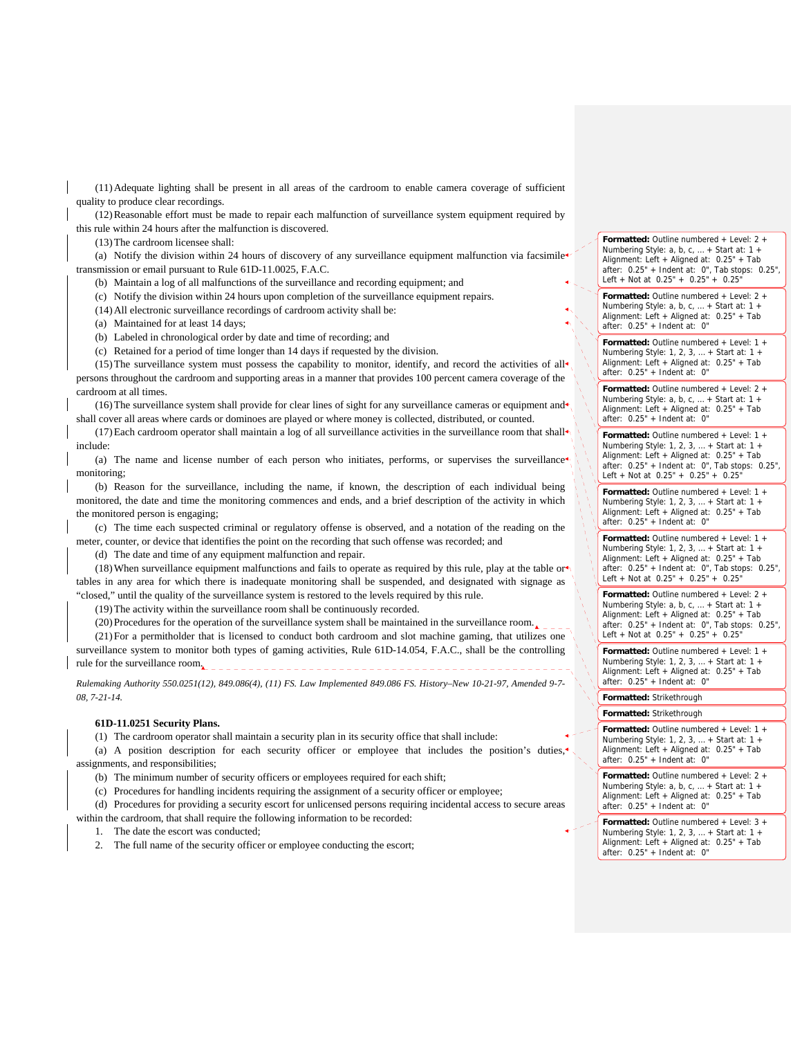(11)Adequate lighting shall be present in all areas of the cardroom to enable camera coverage of sufficient quality to produce clear recordings.

(12)Reasonable effort must be made to repair each malfunction of surveillance system equipment required by this rule within 24 hours after the malfunction is discovered.

(13)The cardroom licensee shall:

(a) Notify the division within 24 hours of discovery of any surveillance equipment malfunction via facsimile transmission or email pursuant to Rule 61D-11.0025, F.A.C.

(b) Maintain a log of all malfunctions of the surveillance and recording equipment; and

- (c) Notify the division within 24 hours upon completion of the surveillance equipment repairs.
- (14)All electronic surveillance recordings of cardroom activity shall be:
- (a) Maintained for at least 14 days;

(b) Labeled in chronological order by date and time of recording; and

(c) Retained for a period of time longer than 14 days if requested by the division.

(15) The surveillance system must possess the capability to monitor, identify, and record the activities of all $\bullet$ persons throughout the cardroom and supporting areas in a manner that provides 100 percent camera coverage of the cardroom at all times.

(16) The surveillance system shall provide for clear lines of sight for any surveillance cameras or equipment and shall cover all areas where cards or dominoes are played or where money is collected, distributed, or counted.

(17) Each cardroom operator shall maintain a log of all surveillance activities in the surveillance room that shall include:

(a) The name and license number of each person who initiates, performs, or supervises the surveillance monitoring;

(b) Reason for the surveillance, including the name, if known, the description of each individual being monitored, the date and time the monitoring commences and ends, and a brief description of the activity in which the monitored person is engaging;

(c) The time each suspected criminal or regulatory offense is observed, and a notation of the reading on the meter, counter, or device that identifies the point on the recording that such offense was recorded; and

(d) The date and time of any equipment malfunction and repair.

(18) When surveillance equipment malfunctions and fails to operate as required by this rule, play at the table orthonour tables in any area for which there is inadequate monitoring shall be suspended, and designated with signage as "closed," until the quality of the surveillance system is restored to the levels required by this rule.

(19)The activity within the surveillance room shall be continuously recorded.

(20)Procedures for the operation of the surveillance system shall be maintained in the surveillance room.

(21)For a permitholder that is licensed to conduct both cardroom and slot machine gaming, that utilizes one surveillance system to monitor both types of gaming activities, Rule 61D-14.054, F.A.C., shall be the controlling rule for the surveillance room.

*Rulemaking Authority 550.0251(12), 849.086(4), (11) FS. Law Implemented 849.086 FS. History–New 10-21-97, Amended 9-7- 08, 7-21-14.* 

### **61D-11.0251 Security Plans.**

(1) The cardroom operator shall maintain a security plan in its security office that shall include:

(a) A position description for each security officer or employee that includes the position's duties, assignments, and responsibilities;

(b) The minimum number of security officers or employees required for each shift;

(c) Procedures for handling incidents requiring the assignment of a security officer or employee;

(d) Procedures for providing a security escort for unlicensed persons requiring incidental access to secure areas within the cardroom, that shall require the following information to be recorded:

1. The date the escort was conducted;

2. The full name of the security officer or employee conducting the escort;

**Formatted:** Outline numbered + Level: 2 + Numbering Style: a, b, c, … + Start at: 1 + Alignment: Left + Aligned at: 0.25" + Tab after: 0.25" + Indent at: 0", Tab stops: 0.25", Left + Not at  $0.25" + 0.25" + 0.25"$ 

**Formatted:** Outline numbered + Level: 2 + Numbering Style: a, b, c, … + Start at: 1 + Alignment: Left + Aligned at: 0.25" + Tab after: 0.25" + Indent at: 0"

**Formatted:** Outline numbered + Level: 1 + Numbering Style: 1, 2, 3, … + Start at: 1 + Alignment: Left + Aligned at: 0.25" + Tab  $after: 0.25" + Indent at: 0"$ 

**Formatted:** Outline numbered + Level: 2 + Numbering Style: a, b, c, … + Start at: 1 + Alignment: Left + Aligned at: 0.25" + Tab after: 0.25" + Indent at: 0"

**Formatted:** Outline numbered + Level: 1 + Numbering Style: 1, 2, 3, … + Start at: 1 + Alignment: Left + Aligned at: 0.25" + Tab after: 0.25" + Indent at: 0", Tab stops: 0.25", Left + Not at 0.25" + 0.25" + 0.25"

**Formatted:** Outline numbered + Level: 1 + Numbering Style: 1, 2, 3, … + Start at: 1 + Alignment: Left + Aligned at: 0.25" + Tab after: 0.25" + Indent at: 0"

**Formatted:** Outline numbered + Level: 1 + Numbering Style: 1, 2, 3, … + Start at: 1 + Alignment: Left + Aligned at: 0.25" + Tab after: 0.25" + Indent at: 0", Tab stops: 0.25", Left + Not at 0.25" + 0.25" + 0.25"

**Formatted:** Outline numbered + Level: 2 + Numbering Style: a, b, c, … + Start at: 1 + Alignment: Left + Aligned at: 0.25" + Tab after: 0.25" + Indent at: 0", Tab stops: 0.25", Left + Not at  $0.25" + 0.25" + 0.25"$ 

**Formatted:** Outline numbered + Level: 1 + Numbering Style: 1, 2, 3, … + Start at: 1 + Alignment: Left + Aligned at: 0.25" + Tab after: 0.25" + Indent at: 0"

**Formatted:** Strikethrough

**Formatted:** Strikethrough

**Formatted:** Outline numbered + Level: 1 + Numbering Style: 1, 2, 3, … + Start at: 1 + Alignment: Left + Aligned at: 0.25" + Tab after: 0.25" + Indent at: 0"

**Formatted:** Outline numbered + Level: 2 + Numbering Style: a, b, c, … + Start at: 1 + Alignment: Left + Aligned at: 0.25" + Tab after: 0.25" + Indent at: 0"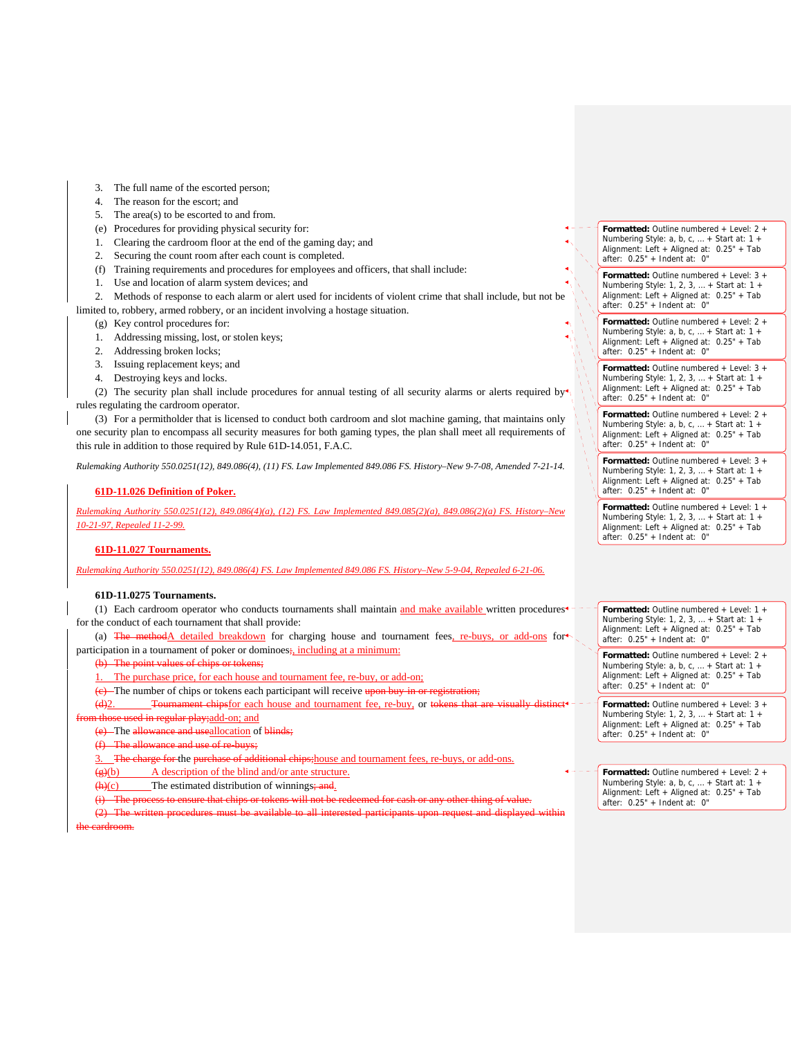- 3. The full name of the escorted person;
- 4. The reason for the escort; and
- 5. The area(s) to be escorted to and from.
- (e) Procedures for providing physical security for:
- 1. Clearing the cardroom floor at the end of the gaming day; and
- 2. Securing the count room after each count is completed.
- (f) Training requirements and procedures for employees and officers, that shall include:
- 1. Use and location of alarm system devices; and
- 2. Methods of response to each alarm or alert used for incidents of violent crime that shall include, but not be limited to, robbery, armed robbery, or an incident involving a hostage situation.
	- (g) Key control procedures for:
	- 1. Addressing missing, lost, or stolen keys;
	- 2. Addressing broken locks;
	- 3. Issuing replacement keys; and
	- 4. Destroying keys and locks.

(2) The security plan shall include procedures for annual testing of all security alarms or alerts required by $\blacktriangleleft$ rules regulating the cardroom operator.

(3) For a permitholder that is licensed to conduct both cardroom and slot machine gaming, that maintains only one security plan to encompass all security measures for both gaming types, the plan shall meet all requirements of this rule in addition to those required by Rule 61D-14.051, F.A.C.

*Rulemaking Authority 550.0251(12), 849.086(4), (11) FS. Law Implemented 849.086 FS. History–New 9-7-08, Amended 7-21-14.* 

## **61D-11.026 Definition of Poker.**

*Rulemaking Authority 550.0251(12), 849.086(4)(a), (12) FS. Law Implemented 849.085(2)(a), 849.086(2)(a) FS. History–New 10-21-97, Repealed 11-2-99.*

## **61D-11.027 Tournaments.**

*Rulemaking Authority 550.0251(12), 849.086(4) FS. Law Implemented 849.086 FS. History–New 5-9-04, Repealed 6-21-06.*

## **61D-11.0275 Tournaments.**

(1) Each cardroom operator who conducts tournaments shall maintain and make available written procedures<sup>+</sup> for the conduct of each tournament that shall provide:

(a) The methodA detailed breakdown for charging house and tournament fees, re-buys, or add-ons for participation in a tournament of poker or dominoes;, including at a minimum:

(b) The point values of chips or token

The purchase price, for each house and tournament fee, re-buy, or add-on;

 $(e)$  The number of chips or tokens each participant will receive upon buy-in or

(d)2. Tournament chipsfor each house and tournament fee, re-buy, or tokens that those used in regular play; add-on; and

(e) The allowance and useallocation of blinds;

The allowance and use of re-buys;

The charge for the purchase of additional chips; house and tournament fees, re-buys, or add-ons.

(g)(b) A description of the blind and/or ante structure.

 $\frac{h(c)}{c}$  The estimated distribution of winnings; and.

(i) The process to ensure that chips or tokens will

(2) The written procedures must be available to all interested participants upon request and displayed within

**Formatted:** Outline numbered + Level: 2 + Numbering Style: a, b, c, … + Start at: 1 + Alignment: Left + Aligned at: 0.25" + Tab after: 0.25" + Indent at: 0"

**Formatted:** Outline numbered + Level: 3 + Numbering Style: 1, 2, 3, … + Start at: 1 + Alignment: Left + Aligned at: 0.25" + Tab after: 0.25" + Indent at: 0"

**Formatted:** Outline numbered + Level: 2 + Numbering Style: a, b, c, … + Start at: 1 + Alignment: Left + Aligned at: 0.25" + Tab after: 0.25" + Indent at: 0"

**Formatted:** Outline numbered + Level: 3 + Numbering Style: 1, 2, 3, … + Start at: 1 + Alignment: Left + Aligned at: 0.25" + Tab after: 0.25" + Indent at: 0"

**Formatted:** Outline numbered + Level: 2 + Numbering Style: a, b, c, … + Start at: 1 + Alignment: Left + Aligned at: 0.25" + Tab  $after: 0.25" + Indent at: 0"$ 

**Formatted:** Outline numbered + Level: 3 + Numbering Style: 1, 2, 3, … + Start at: 1 + Alignment: Left + Aligned at: 0.25" + Tab after: 0.25" + Indent at: 0"

**Formatted:** Outline numbered + Level: 1 + Numbering Style: 1, 2, 3, … + Start at: 1 + Alignment: Left + Aligned at: 0.25" + Tab after: 0.25" + Indent at: 0"

**Formatted:** Outline numbered + Level: 1 + Numbering Style: 1, 2, 3, … + Start at: 1 + Alignment: Left + Aligned at: 0.25" + Tab after: 0.25" + Indent at: 0"

**Formatted:** Outline numbered + Level: 2 + Numbering Style: a, b, c, … + Start at: 1 + Alignment: Left + Aligned at: 0.25" + Tab after: 0.25" + Indent at: 0"

**Formatted:** Outline numbered + Level: 3 + Numbering Style: 1, 2, 3, … + Start at: 1 + Alignment: Left + Aligned at: 0.25" + Tab after: 0.25" + Indent at: 0"

**Formatted:** Outline numbered + Level: 2 + Numbering Style: a, b, c, … + Start at: 1 + Alignment: Left + Aligned at: 0.25" + Tab after: 0.25" + Indent at: 0"

the cardroom.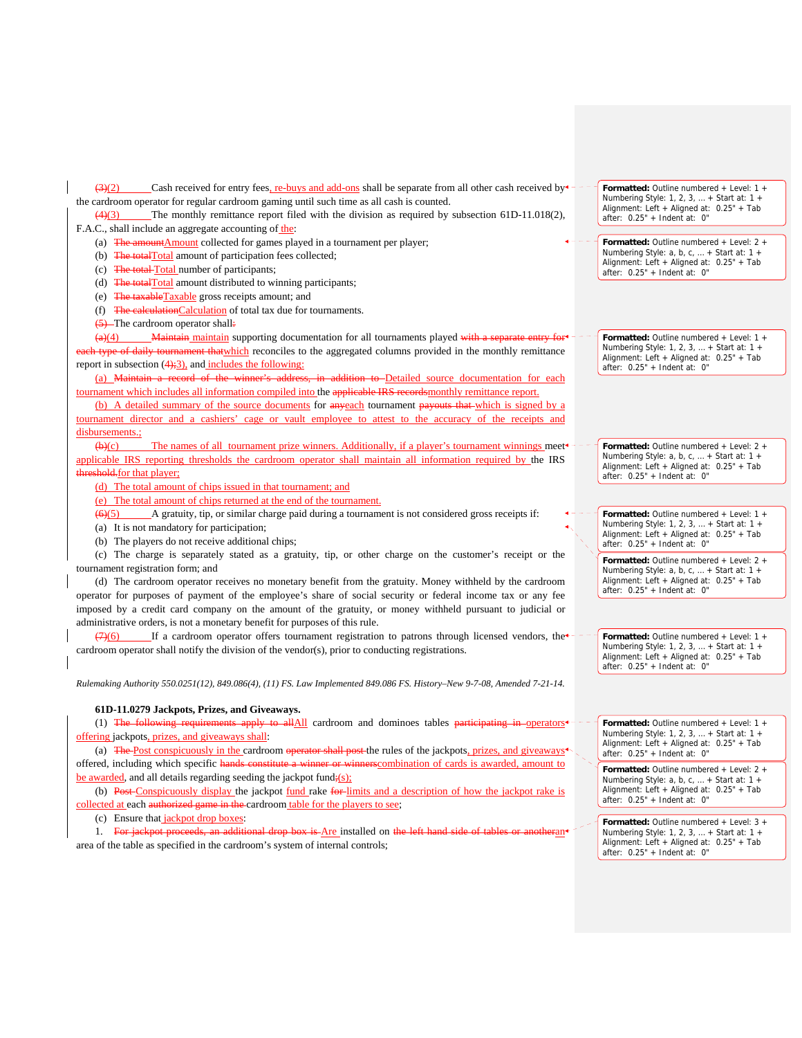$\frac{(3)(2)}{2}$  Cash received for entry fees, re-buys and add-ons shall be separate from all other cash received by  $\pm$  the cardroom operator for regular cardroom gaming until such time as all cash is counted.

(4)(3) The monthly remittance report filed with the division as required by subsection 61D-11.018(2), F.A.C., shall include an aggregate accounting of the:

- (a) The amountAmount collected for games played in a tournament per player;
- (b) The totalTotal amount of participation fees collected;
- (c) The total Total number of participants;
- (d) The totalTotal amount distributed to winning participants;
- (e) The taxableTaxable gross receipts amount; and
- (f) The calculationCalculation of total tax due for tournaments.
- (5) The cardroom operator shall:

 $\frac{(\mathbf{a})(4)}{(\mathbf{a})(4)}$  Maintain maintain supporting documentation for all tournaments played with a separate entry for all tournaments played with a separate entry for  $\mathbf{a}$ th type of daily tournament thatwhich reconciles to the aggregated columns provided in the monthly remittance report in subsection  $(4)$ ; 3), and includes the following:

(a) Maintain a record of the winner's address, in addition to Detailed source documentation for each tournament which includes all information compiled into the applicable IRS recordsmonthly remittance report.

(b) A detailed summary of the source documents for any each tournament payouts that which is signed by a tournament director and a cashiers' cage or vault employee to attest to the accuracy of the receipts and disbursements.:

 $(\theta)$  (c) The names of all tournament prize winners. Additionally, if a player's tournament winnings meet applicable IRS reporting thresholds the cardroom operator shall maintain all information required by the IRS threshold.for that player;

(d) The total amount of chips issued in that tournament; and

(e) The total amount of chips returned at the end of the tournament.

 $(6)(5)$  A gratuity, tip, or similar charge paid during a tournament is not considered gross receipts if:

(a) It is not mandatory for participation;

(b) The players do not receive additional chips;

(c) The charge is separately stated as a gratuity, tip, or other charge on the customer's receipt or the tournament registration form; and

(d) The cardroom operator receives no monetary benefit from the gratuity. Money withheld by the cardroom operator for purposes of payment of the employee's share of social security or federal income tax or any fee imposed by a credit card company on the amount of the gratuity, or money withheld pursuant to judicial or administrative orders, is not a monetary benefit for purposes of this rule.

If a cardroom operator offers tournament registration to patrons through licensed vendors, the cardroom operator shall notify the division of the vendor(s), prior to conducting registrations.

*Rulemaking Authority 550.0251(12), 849.086(4), (11) FS. Law Implemented 849.086 FS. History–New 9-7-08, Amended 7-21-14.*

# **61D-11.0279 Jackpots, Prizes, and Giveaways.**

(1) The following requirements apply to allAll cardroom and dominoes tables participating in operators offering jackpots, prizes, and giveaways shall:

(a) The Post conspicuously in the cardroom operator shall post the rules of the jackpots, prizes, and giveaways offered, including which specific hands constitute a winner or winnerscombination of cards is awarded, amount to be awarded, and all details regarding seeding the jackpot fund; $(s)$ ;

(b) Post Conspicuously display the jackpot fund rake for-limits and a description of how the jackpot rake is collected at each authorized game in the cardroom table for the players to see;

(c) Ensure that jackpot drop boxes:

1. For jackpot proceeds, an additional drop box is Are installed on the left hand side of tables or anotherant area of the table as specified in the cardroom's system of internal controls;

**Formatted:** Outline numbered + Level: 1 + Numbering Style: 1, 2, 3, … + Start at: 1 + Alignment: Left + Aligned at: 0.25" + Tab after: 0.25" + Indent at: 0"

**Formatted:** Outline numbered + Level: 2 + Numbering Style: a, b, c, … + Start at: 1 + Alignment: Left + Aligned at: 0.25" + Tab after: 0.25" + Indent at: 0"

**Formatted:** Outline numbered + Level: 1 + Numbering Style: 1, 2, 3, … + Start at: 1 + Alignment: Left + Aligned at: 0.25" + Tab after: 0.25" + Indent at: 0"

**Formatted:** Outline numbered + Level: 2 + Numbering Style: a, b, c, ... + Start at: 1 -Alignment: Left + Aligned at: 0.25" + Tab after: 0.25" + Indent at: 0"

**Formatted:** Outline numbered + Level: 1 + Numbering Style: 1, 2, 3, … + Start at: 1 + Alignment: Left + Aligned at: 0.25" + Tab after: 0.25" + Indent at: 0"

**Formatted:** Outline numbered + Level: 2 + Numbering Style: a, b, c, … + Start at: 1 + Alignment: Left + Aligned at: 0.25" + Tab after: 0.25" + Indent at: 0"

**Formatted:** Outline numbered + Level: 1 + Numbering Style: 1, 2, 3, … + Start at: 1 + Alignment: Left + Aligned at: 0.25" + Tab after: 0.25" + Indent at: 0"

**Formatted:** Outline numbered + Level: 1 + Numbering Style: 1, 2, 3, … + Start at: 1 + Alignment: Left + Aligned at: 0.25" + Tab after: 0.25" + Indent at: 0"

**Formatted:** Outline numbered + Level: 2 + Numbering Style: a, b, c, … + Start at: 1 + Alignment: Left + Aligned at: 0.25" + Tab after: 0.25" + Indent at: 0"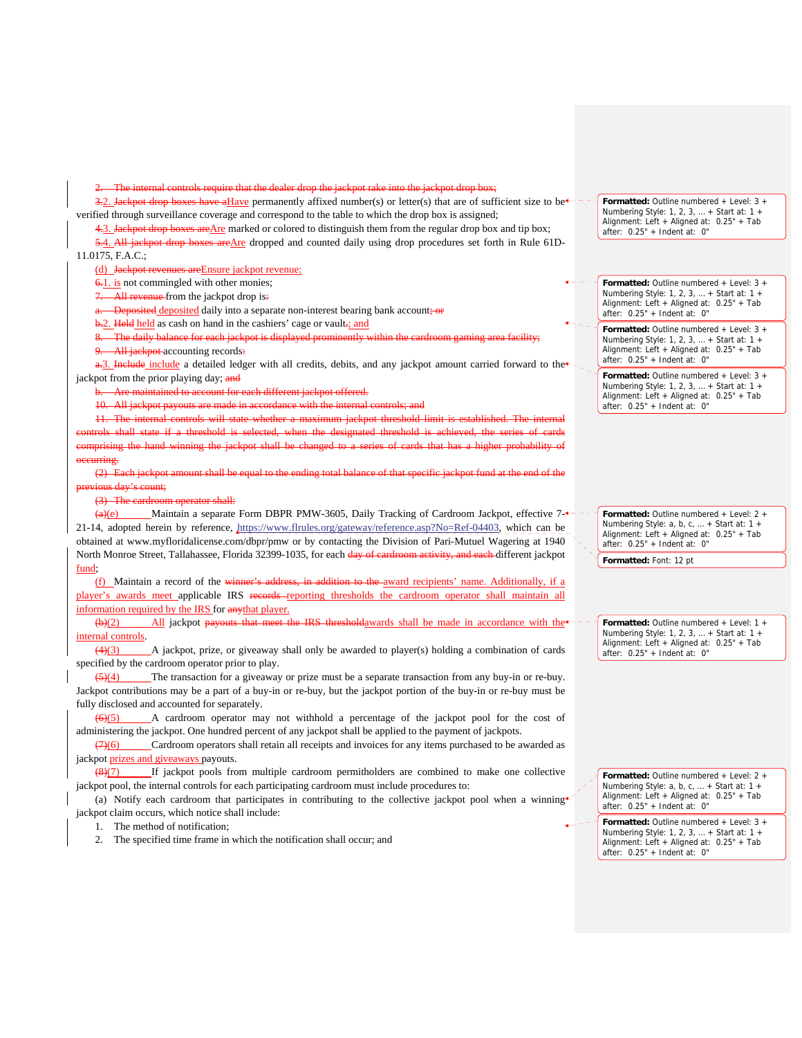require that the

3.2. Jackpot drop boxes have a Have permanently affixed number(s) or letter(s) that are of sufficient size to be $\epsilon$  - verified through surveillance coverage and correspond to the table to which the drop box is assigned;

4.3. Jackpot drop boxes are Are marked or colored to distinguish them from the regular drop box and tip box; 5.4. All jackpot drop boxes are Are dropped and counted daily using drop procedures set forth in Rule 61D-11.0175, F.A.C.;

(d) Jackpot revenues areEnsure jackpot revenue:

6.1. is not commingled with other monies;

7. All revenue from the jackpot drop is:

Deposited deposited daily into a separate non-interest bearing bank account; or

b.2. Held held as cash on hand in the cashiers' cage or vault.; and

8. The daily balance for each jackpot is displayed prominently within the cardroom gaming area facility; All jackpot accounting records:

a.3. Include include a detailed ledger with all credits, debits, and any jackpot amount carried forward to the jackpot from the prior playing day; and

b. Are maintained to account for each different jackpot offered.

-All jackpot pay

11. The internal controls will state whether a maximum jackpot threshold limit is established. The internal controls shall state if a threshold is selected, when the designated threshold is achieved, the series of cards rising the hand winning the jackpot shall be changed to a series of cards that has a higher probability occurring.

(2) Each jackpot amount shall be equal to the ending total balance of that specific jackpot fund at the end of the ous day's count;

(3) The cardroom operator shall:

 $\frac{(a)(e)}{e}$  Maintain a separate Form DBPR PMW-3605, Daily Tracking of Cardroom Jackpot, effective 7-21-14, adopted herein by reference, https://www.flrules.org/gateway/reference.asp?No=Ref-04403, which can be obtained at www.myfloridalicense.com/dbpr/pmw or by contacting the Division of Pari-Mutuel Wagering at 1940 North Monroe Street, Tallahassee, Florida 32399-1035, for each day of cardroom activity, and each different jackpot fund;

(f) Maintain a record of the winner's address, in addition to the award recipients' name. Additionally, if a player's awards meet applicable IRS records reporting thresholds the cardroom operator shall maintain all information required by the IRS for anythat player.

(b)(2) All jackpot payouts that meet the IRS thresholdawards shall be made in accordance with the<sup>+</sup> internal controls.

(4)(3) A jackpot, prize, or giveaway shall only be awarded to player(s) holding a combination of cards specified by the cardroom operator prior to play.

 $\frac{5(4)}{2}$  The transaction for a giveaway or prize must be a separate transaction from any buy-in or re-buy. Jackpot contributions may be a part of a buy-in or re-buy, but the jackpot portion of the buy-in or re-buy must be fully disclosed and accounted for separately.

(6)(5) A cardroom operator may not withhold a percentage of the jackpot pool for the cost of administering the jackpot. One hundred percent of any jackpot shall be applied to the payment of jackpots.

 $(7)(6)$  Cardroom operators shall retain all receipts and invoices for any items purchased to be awarded as jackpot prizes and giveaways payouts.

(8)(7) If jackpot pools from multiple cardroom permitholders are combined to make one collective jackpot pool, the internal controls for each participating cardroom must include procedures to:

(a) Notify each cardroom that participates in contributing to the collective jackpot pool when a winning jackpot claim occurs, which notice shall include:

1. The method of notification;

2. The specified time frame in which the notification shall occur; and

**Formatted:** Outline numbered + Level: 3 + Numbering Style: 1, 2, 3, … + Start at: 1 + Alignment: Left + Aligned at: 0.25" + Tab after: 0.25" + Indent at: 0"

**Formatted:** Outline numbered + Level: 3 + Numbering Style: 1, 2, 3, … + Start at: 1 + Alignment: Left + Aligned at: 0.25" + Tab after: 0.25" + Indent at: 0"

**Formatted:** Outline numbered + Level: 3 + Numbering Style: 1, 2, 3, … + Start at: 1 + Alignment: Left + Aligned at: 0.25" + Tab after: 0.25" + Indent at: 0"

**Formatted:** Outline numbered + Level: 3 + Numbering Style: 1, 2, 3, … + Start at: 1 + Alignment: Left + Aligned at: 0.25" + Tab after: 0.25" + Indent at: 0"

**Formatted:** Outline numbered + Level: 2 + Numbering Style:  $a, b, c, ... +$  Start at:  $1 +$ Alignment: Left + Aligned at: 0.25" + Tab after: 0.25" + Indent at: 0"

**Formatted:** Font: 12 pt

**Formatted:** Outline numbered + Level: 1 + Numbering Style: 1, 2, 3, … + Start at: 1 + Alignment: Left + Aligned at: 0.25" + Tab after: 0.25" + Indent at: 0"

**Formatted:** Outline numbered + Level: 2 + Numbering Style: a, b, c, … + Start at: 1 + Alignment: Left + Aligned at: 0.25" + Tab after: 0.25" + Indent at: 0"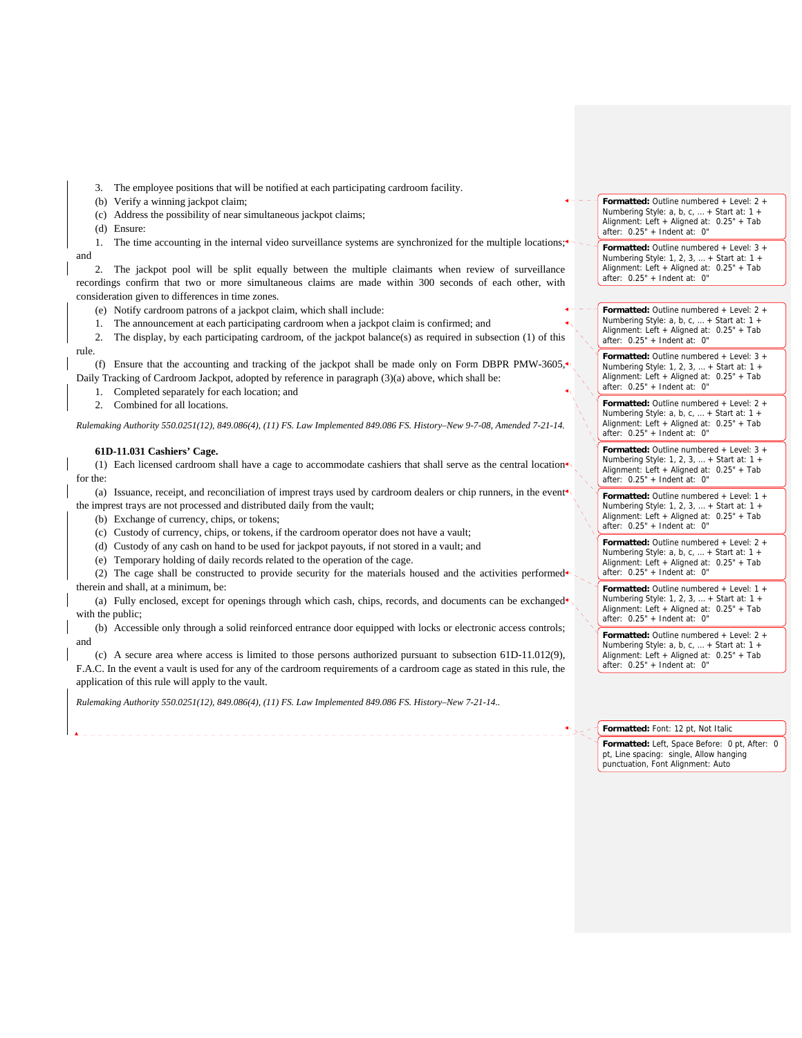3. The employee positions that will be notified at each participating cardroom facility.

(b) Verify a winning jackpot claim;

(c) Address the possibility of near simultaneous jackpot claims;

(d) Ensure:

1. The time accounting in the internal video surveillance systems are synchronized for the multiple locations; and

2. The jackpot pool will be split equally between the multiple claimants when review of surveillance recordings confirm that two or more simultaneous claims are made within 300 seconds of each other, with consideration given to differences in time zones.

(e) Notify cardroom patrons of a jackpot claim, which shall include:

1. The announcement at each participating cardroom when a jackpot claim is confirmed; and

2. The display, by each participating cardroom, of the jackpot balance(s) as required in subsection (1) of this rule.

(f) Ensure that the accounting and tracking of the jackpot shall be made only on Form DBPR PMW-3605. Daily Tracking of Cardroom Jackpot, adopted by reference in paragraph (3)(a) above, which shall be:

1. Completed separately for each location; and

2. Combined for all locations.

*Rulemaking Authority 550.0251(12), 849.086(4), (11) FS. Law Implemented 849.086 FS. History–New 9-7-08, Amended 7-21-14.* 

#### **61D-11.031 Cashiers' Cage.**

(1) Each licensed cardroom shall have a cage to accommodate cashiers that shall serve as the central location for the:

(a) Issuance, receipt, and reconciliation of imprest trays used by cardroom dealers or chip runners, in the event the imprest trays are not processed and distributed daily from the vault;

(b) Exchange of currency, chips, or tokens;

- (c) Custody of currency, chips, or tokens, if the cardroom operator does not have a vault;
- (d) Custody of any cash on hand to be used for jackpot payouts, if not stored in a vault; and
- (e) Temporary holding of daily records related to the operation of the cage.

(2) The cage shall be constructed to provide security for the materials housed and the activities performed therein and shall, at a minimum, be:

(a) Fully enclosed, except for openings through which cash, chips, records, and documents can be exchanged with the public;

(b) Accessible only through a solid reinforced entrance door equipped with locks or electronic access controls; and

(c) A secure area where access is limited to those persons authorized pursuant to subsection 61D-11.012(9), F.A.C. In the event a vault is used for any of the cardroom requirements of a cardroom cage as stated in this rule, the application of this rule will apply to the vault.

*Rulemaking Authority 550.0251(12), 849.086(4), (11) FS. Law Implemented 849.086 FS. History–New 7-21-14..*

**Formatted:** Outline numbered + Level: 2 + Numbering Style: a, b, c, … + Start at: 1 + Alignment: Left + Aligned at: 0.25" + Tab after: 0.25" + Indent at: 0"

**Formatted:** Outline numbered + Level: 3 + Numbering Style: 1, 2, 3, … + Start at: 1 + Alignment: Left + Aligned at: 0.25" + Tab after: 0.25" + Indent at: 0"

**Formatted:** Outline numbered + Level: 2 + Numbering Style: a, b, c, … + Start at: 1 + Alignment: Left + Aligned at: 0.25" + Tab after: 0.25" + Indent at: 0"

**Formatted:** Outline numbered + Level: 3 + Numbering Style: 1, 2, 3, … + Start at: 1 + Alignment: Left + Aligned at: 0.25" + Tab after: 0.25" + Indent at: 0"

**Formatted:** Outline numbered + Level: 2 + Numbering Style: a, b, c, … + Start at: 1 + Alignment: Left + Aligned at: 0.25" + Tab after: 0.25" + Indent at: 0"

**Formatted:** Outline numbered + Level: 3 + Numbering Style: 1, 2, 3, … + Start at: 1 + Alignment: Left + Aligned at: 0.25" + Tab after: 0.25" + Indent at: 0"

**Formatted:** Outline numbered + Level: 1 + Numbering Style: 1, 2, 3, … + Start at: 1 + Alignment: Left + Aligned at: 0.25" + Tab after:  $0.25" + Indent at: 0"$ 

**Formatted:** Outline numbered + Level: 2 + Numbering Style: a, b, c, ... + Start at: 1 + Alignment: Left + Aligned at: 0.25" + Tab after:  $0.25"$  + Indent at: 0"

**Formatted:** Outline numbered + Level: 1 + Numbering Style: 1, 2, 3, … + Start at: 1 + Alignment: Left + Aligned at: 0.25" + Tab after: 0.25" + Indent at: 0"

**Formatted:** Outline numbered + Level: 2 + Numbering Style: a, b, c, … + Start at: 1 + Alignment: Left + Aligned at: 0.25" + Tab after: 0.25" + Indent at: 0"

#### **Formatted:** Font: 12 pt, Not Italic

**Formatted:** Left, Space Before: 0 pt, After: 0 pt, Line spacing: single, Allow hanging punctuation, Font Alignment: Auto